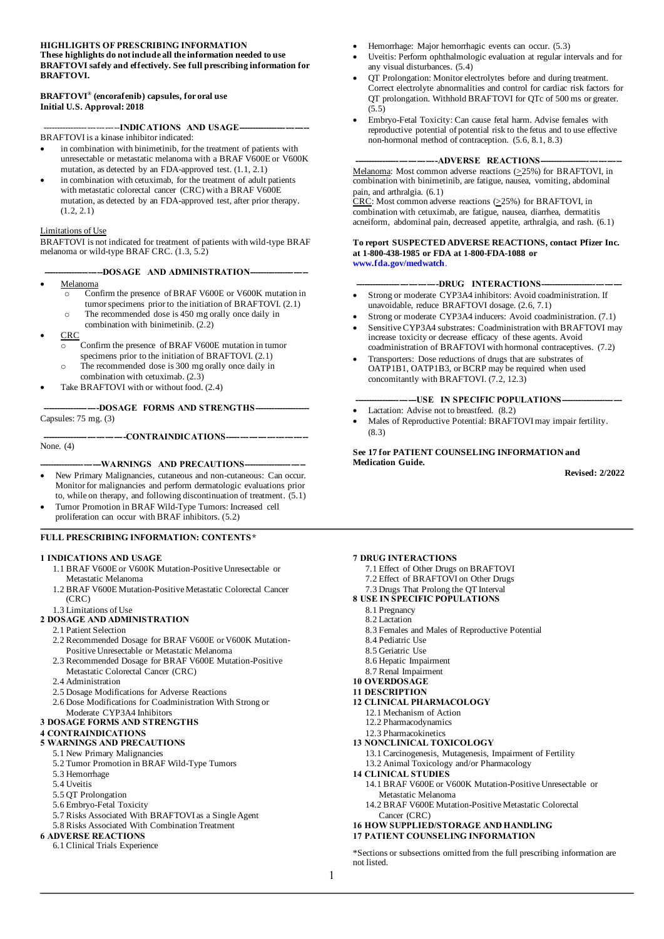#### **HIGHLIGHTS OF PRESCRIBING INFORMATION These highlights do not include all the information needed to use BRAFTOVI safely and effectively. See full prescribing information for BRAFTOVI.**

#### **BRAFTOVI® (encorafenib) capsules, for oral use Initial U.S. Approval: 2018**

--------INDICATIONS AND USAGE-BRAFTOVI is a kinase inhibitor indicated:

- in combination with binimetinib, for the treatment of patients with unresectable or metastatic melanoma with a BRAF V600E or V600K mutation, as detected by an FDA-approved test. (1.1, 2.1)
- in combination with cetuximab, for the treatment of adult patients with metastatic colorectal cancer (CRC) with a BRAF V600E mutation, as detected by an FDA-approved test, after prior therapy.  $(1.2, 2.1)$

#### Limitations of Use

BRAFTOVI is not indicated for treatment of patients with wild-type BRAF melanoma or wild-type BRAF CRC. (1.3, 5.2)

- --DOSAGE AND ADMINISTRATION---• Melanoma
	- o Confirm the presence of BRAF V600E or V600K mutation in tumor specimens prior to the initiation of BRAFTOVI. (2.1)
	- o The recommended dose is 450 mg orally once daily in combination with binimetinib. (2.2)
- CRC
	- o Confirm the presence of BRAF V600E mutation in tumor specimens prior to the initiation of BRAFTOVI. (2.1)
	- o The recommended dose is 300 mg orally once daily in combination with cetuximab. (2.3)
	- Take BRAFTOVI with or without food. (2.4)

--DOSAGE FORMS AND STRENGTHS-------Capsules: 75 mg. (3)

None. (4)

#### ---WARNINGS AND PRECAUTIONS---

---CONTRAINDICATIONS-----

- New Primary Malignancies, cutaneous and non-cutaneous: Can occur. Monitor for malignancies and perform dermatologic evaluations prior to, while on therapy, and following discontinuation of treatment. (5.1)
- Tumor Promotion in BRAF Wild-Type Tumors: Increased cell proliferation can occur with BRAF inhibitors. (5.2)

#### **FULL PRESCRIBING INFORMATION: CONTENTS\***

#### **1 INDICATIONS AND USAGE**

- 1.1 BRAF V600E or V600K Mutation-Positive Unresectable or Metastatic Melanoma
- 1.2 BRAF V600E Mutation-Positive Metastatic Colorectal Cancer (CRC)

#### 1.3 Limitations of Use **2 DOSAGE AND ADMINISTRATION**

- 2.1 Patient Selection
- 2.2 Recommended Dosage for BRAF V600E or V600K Mutation-Positive Unresectable or Metastatic Melanoma
- 2.3 Recommended Dosage for BRAF V600E Mutation-Positive
- Metastatic Colorectal Cancer (CRC)
- 2.4 Administration
- 2.5 Dosage Modifications for Adverse Reactions
- 2.6 Dose Modifications for Coadministration With Strong or
- Moderate CYP3A4 Inhibitors
- **3 DOSAGE FORMS AND STRENGTHS**

#### **4 CONTRAINDICATIONS**

**5 WARNINGS AND PRECAUTIONS**

#### 5.1 New Primary Malignancies

- 5.2 Tumor Promotion in BRAF Wild-Type Tumors
- 5.3 Hemorrhage
- 5.4 Uveitis
- 5.5 QT Prolongation
- 5.6 Embryo-Fetal Toxicity
- 5.7 Risks Associated With BRAFTOVI as a Single Agent
- 5.8 Risks Associated With Combination Treatment

#### **6 ADVERSE REACTIONS**

6.1 Clinical Trials Experience

- Hemorrhage: Major hemorrhagic events can occur. (5.3)
- Uveitis: Perform ophthalmologic evaluation at regular intervals and for any visual disturbances. (5.4)
- QT Prolongation: Monitor electrolytes before and during treatment. Correct electrolyte abnormalities and control for cardiac risk factors for QT prolongation. Withhold BRAFTOVI for QTc of 500 ms or greater. (5.5)
- Embryo-Fetal Toxicity: Can cause fetal harm. Advise females with reproductive potential of potential risk to the fetus and to use effective non-hormonal method of contraception. (5.6, 8.1, 8.3)

#### ---ADVERSE REACTIONS-

Melanoma: Most common adverse reactions  $(\geq 25\%)$  for BRAFTOVI, in combination with binimetinib, are fatigue, nausea, vomiting, abdominal pain, and arthralgia. (6.1)

 $CRC$ : Most common adverse reactions ( $\geq$ 25%) for BRAFTOVI, in</u> combination with cetuximab, are fatigue, nausea, diarrhea, dermatitis acneiform, abdominal pain, decreased appetite, arthralgia, and rash. (6.1)

#### **To report SUSPECTED ADVERSE REACTIONS, contact Pfizer Inc. at 1-800-438-1985 or FDA at 1-800-FDA-1088 or [www.fda.gov/medwatch](https://www.fda.gov/safety/medwatch-fda-safety-information-and-adverse-event-reporting-program)**.

#### ----DRUG INTERACTIONS-

- Strong or moderate CYP3A4 inhibitors: Avoid coadministration. If unavoidable, reduce BRAFTOVI dosage. (2.6, 7.1)
- Strong or moderate CYP3A4 inducers: Avoid coadministration. (7.1)
- Sensitive CYP3A4 substrates: Coadministration with BRAFTOVI may increase toxicity or decrease efficacy of these agents. Avoid
- coadministration of BRAFTOVI with hormonal contraceptives. (7.2) • Transporters: Dose reductions of drugs that are substrates of OATP1B1, OATP1B3, or BCRP may be required when used concomitantly with BRAFTOVI. (7.2, 12.3)

#### -USE IN SPECIFIC POPULATIONS-

- Lactation: Advise not to breastfeed. (8.2)
- Males of Reproductive Potential: BRAFTOVI may impair fertility. (8.3)

#### **See 17 for PATIENT COUNSELING INFORMATION and Medication Guide.**

**Revised: 2/2022**

#### **7 DRUG INTERACTIONS**

- 7.1 Effect of Other Drugs on BRAFTOVI
- 7.2 Effect of BRAFTOVI on Other Drugs
- 7.3 Drugs That Prolong the QT Interval
- **8 USE IN SPECIFIC POPULATIONS**
	- 8.1 Pregnancy
	- 8.2 Lactation
	- 8.3 Females and Males of Reproductive Potential
	- 8.4 Pediatric Use
	- 8.5 Geriatric Use
	- 8.6 Hepatic Impairment
	- 8.7 Renal Impairment
- **10 OVERDOSAGE 11 DESCRIPTION**
- **12 CLINICAL PHARMACOLOGY**
- 12.1 Mechanism of Action
	- 12.2 Pharmacodynamics
	- 12.3 Pharmacokinetics
- **13 NONCLINICAL TOXICOLOGY**
- 13.1 Carcinogenesis, Mutagenesis, Impairment of Fertility
- 13.2 Animal Toxicology and/or Pharmacology
- **14 CLINICAL STUDIES**
	- 14.1 BRAF V600E or V600K Mutation-Positive Unresectable or Metastatic Melanoma
	- 14.2 BRAF V600E Mutation-Positive Metastatic Colorectal Cancer (CRC)

#### **16 HOW SUPPLIED/STORAGE AND HANDLING 17 PATIENT COUNSELING INFORMATION**

\*Sections or subsections omitted from the full prescribing information are not listed.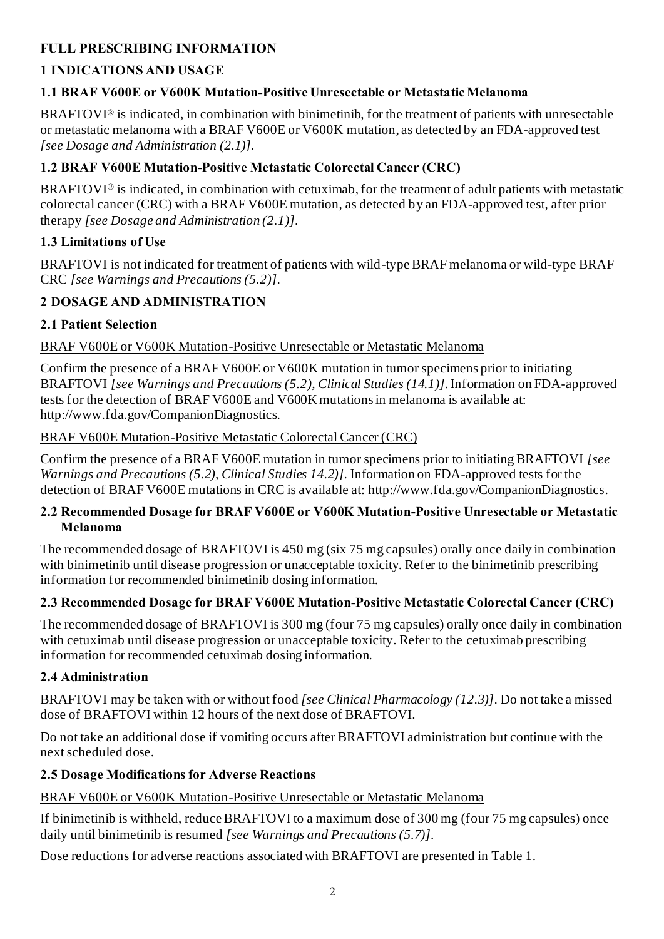# **FULL PRESCRIBING INFORMATION**

# **1 INDICATIONS AND USAGE**

## **1.1 BRAF V600E or V600K Mutation-Positive Unresectable or Metastatic Melanoma**

BRAFTOVI® is indicated, in combination with binimetinib, for the treatment of patients with unresectable or metastatic melanoma with a BRAF V600E or V600K mutation, as detected by an FDA-approved test *[see Dosage and Administration (2.1)]*.

## **1.2 BRAF V600E Mutation-Positive Metastatic Colorectal Cancer (CRC)**

BRAFTOVI® is indicated, in combination with cetuximab, for the treatment of adult patients with metastatic colorectal cancer (CRC) with a BRAF V600E mutation, as detected by an FDA-approved test, after prior therapy *[see Dosage and Administration (2.1)]*.

## **1.3 Limitations of Use**

BRAFTOVI is not indicated for treatment of patients with wild-type BRAF melanoma or wild-type BRAF CRC *[see Warnings and Precautions (5.2)]*.

# **2 DOSAGE AND ADMINISTRATION**

## **2.1 Patient Selection**

## BRAF V600E or V600K Mutation-Positive Unresectable or Metastatic Melanoma

Confirm the presence of a BRAF V600E or V600K mutation in tumor specimens prior to initiating BRAFTOVI *[see Warnings and Precautions (5.2), Clinical Studies (14.1)]*. Information on FDA-approved tests for the detection of BRAF V600E and V600K mutations in melanoma is available at: [http://www.fda.gov/CompanionDiagnostics](https://www.fda.gov/medical-devices/in-vitro-diagnostics/list-cleared-or-approved-companion-diagnostic-devices-in-vitro-and-imaging-tools).

### BRAF V600E Mutation-Positive Metastatic Colorectal Cancer (CRC)

Confirm the presence of a BRAF V600E mutation in tumor specimens prior to initiating BRAFTOVI *[see Warnings and Precautions (5.2), Clinical Studies 14.2)]*. Information on FDA-approved tests for the detection of BRAF V600E mutations in CRC is available at: [http://www.fda.gov/CompanionDiagnostics](https://www.fda.gov/medical-devices/in-vitro-diagnostics/list-cleared-or-approved-companion-diagnostic-devices-in-vitro-and-imaging-tools).

#### **2.2 Recommended Dosage for BRAF V600E or V600K Mutation-Positive Unresectable or Metastatic Melanoma**

The recommended dosage of BRAFTOVI is 450 mg (six 75 mg capsules) orally once daily in combination with binimetinib until disease progression or unacceptable toxicity. Refer to the binimetinib prescribing information for recommended binimetinib dosing information.

## **2.3 Recommended Dosage for BRAF V600E Mutation-Positive Metastatic Colorectal Cancer (CRC)**

The recommended dosage of BRAFTOVI is 300 mg (four 75 mg capsules) orally once daily in combination with cetuximab until disease progression or unacceptable toxicity. Refer to the cetuximab prescribing information for recommended cetuximab dosing information.

## **2.4 Administration**

BRAFTOVI may be taken with or without food *[see Clinical Pharmacology (12.3)]*. Do not take a missed dose of BRAFTOVI within 12 hours of the next dose of BRAFTOVI.

Do not take an additional dose if vomiting occurs after BRAFTOVI administration but continue with the next scheduled dose.

## **2.5 Dosage Modifications for Adverse Reactions**

## BRAF V600E or V600K Mutation-Positive Unresectable or Metastatic Melanoma

If binimetinib is withheld, reduce BRAFTOVI to a maximum dose of 300 mg (four 75 mg capsules) once daily until binimetinib is resumed *[see Warnings and Precautions (5.7)]*.

Dose reductions for adverse reactions associated with BRAFTOVI are presented in Table 1.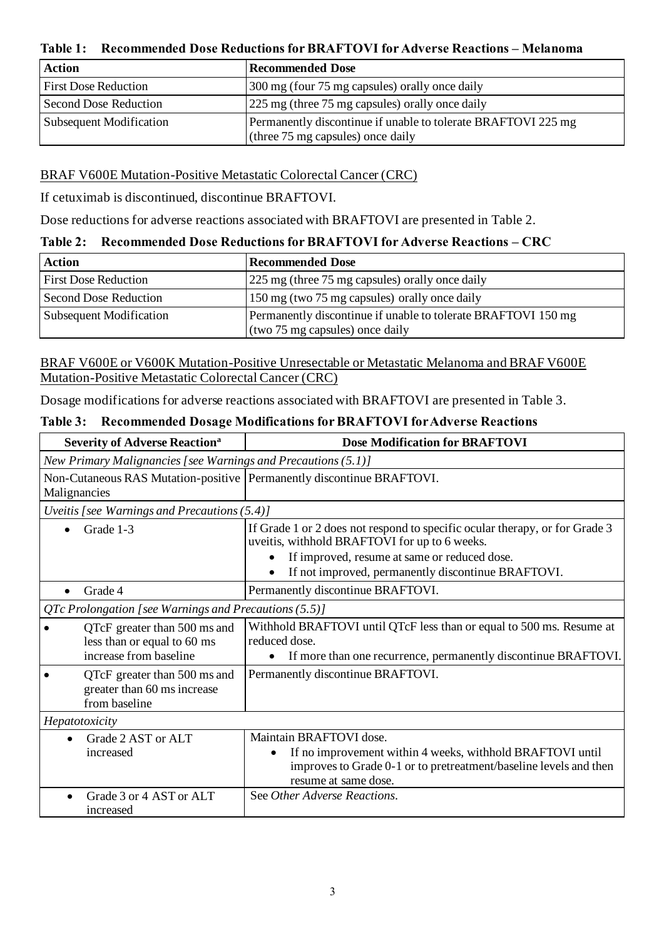**Table 1: Recommended Dose Reductions for BRAFTOVI for Adverse Reactions – Melanoma**

| <b>Action</b>                  | Recommended Dose                                                                                   |
|--------------------------------|----------------------------------------------------------------------------------------------------|
| <b>First Dose Reduction</b>    | 300 mg (four 75 mg capsules) orally once daily                                                     |
| Second Dose Reduction          | 225 mg (three 75 mg capsules) orally once daily                                                    |
| <b>Subsequent Modification</b> | Permanently discontinue if unable to tolerate BRAFTOVI 225 mg<br>(three 75 mg capsules) once daily |

### BRAF V600E Mutation-Positive Metastatic Colorectal Cancer (CRC)

If cetuximab is discontinued, discontinue BRAFTOVI.

Dose reductions for adverse reactions associated with BRAFTOVI are presented in Table 2.

#### **Table 2: Recommended Dose Reductions for BRAFTOVI for Adverse Reactions – CRC**

| <b>Action</b>                  | <b>Recommended Dose</b>                                                                          |
|--------------------------------|--------------------------------------------------------------------------------------------------|
| <b>First Dose Reduction</b>    | 225 mg (three 75 mg capsules) orally once daily                                                  |
| Second Dose Reduction          | 150 mg (two 75 mg capsules) orally once daily                                                    |
| <b>Subsequent Modification</b> | Permanently discontinue if unable to tolerate BRAFTOVI 150 mg<br>(two 75 mg capsules) once daily |

BRAF V600E or V600K Mutation-Positive Unresectable or Metastatic Melanoma and BRAF V600E Mutation-Positive Metastatic Colorectal Cancer (CRC)

Dosage modifications for adverse reactions associated with BRAFTOVI are presented in Table 3.

| <b>Severity of Adverse Reaction<sup>a</sup></b>                                       | <b>Dose Modification for BRAFTOVI</b>                                                                                                                                             |  |  |  |
|---------------------------------------------------------------------------------------|-----------------------------------------------------------------------------------------------------------------------------------------------------------------------------------|--|--|--|
| New Primary Malignancies [see Warnings and Precautions (5.1)]                         |                                                                                                                                                                                   |  |  |  |
| Non-Cutaneous RAS Mutation-positive   Permanently discontinue BRAFTOVI.               |                                                                                                                                                                                   |  |  |  |
| Malignancies                                                                          |                                                                                                                                                                                   |  |  |  |
| Uveitis [see Warnings and Precautions (5.4)]                                          |                                                                                                                                                                                   |  |  |  |
| Grade 1-3                                                                             | If Grade 1 or 2 does not respond to specific ocular therapy, or for Grade 3<br>uveitis, withhold BRAFTOVI for up to 6 weeks.                                                      |  |  |  |
|                                                                                       | If improved, resume at same or reduced dose.                                                                                                                                      |  |  |  |
|                                                                                       | If not improved, permanently discontinue BRAFTOVI.                                                                                                                                |  |  |  |
| Grade 4                                                                               | Permanently discontinue BRAFTOVI.                                                                                                                                                 |  |  |  |
| QTc Prolongation [see Warnings and Precautions (5.5)]                                 |                                                                                                                                                                                   |  |  |  |
| QTcF greater than 500 ms and<br>less than or equal to 60 ms<br>increase from baseline | Withhold BRAFTOVI until QTcF less than or equal to 500 ms. Resume at<br>reduced dose.<br>If more than one recurrence, permanently discontinue BRAFTOVI.                           |  |  |  |
| QTcF greater than 500 ms and<br>greater than 60 ms increase<br>from baseline          | Permanently discontinue BRAFTOVI.                                                                                                                                                 |  |  |  |
| Hepatotoxicity                                                                        |                                                                                                                                                                                   |  |  |  |
| Grade 2 AST or ALT<br>increased                                                       | Maintain BRAFTOVI dose.<br>If no improvement within 4 weeks, withhold BRAFTOVI until<br>improves to Grade 0-1 or to pretreatment/baseline levels and then<br>resume at same dose. |  |  |  |
| Grade 3 or 4 AST or ALT<br>increased                                                  | See Other Adverse Reactions.                                                                                                                                                      |  |  |  |

# **Table 3: Recommended Dosage Modifications for BRAFTOVI for Adverse Reactions**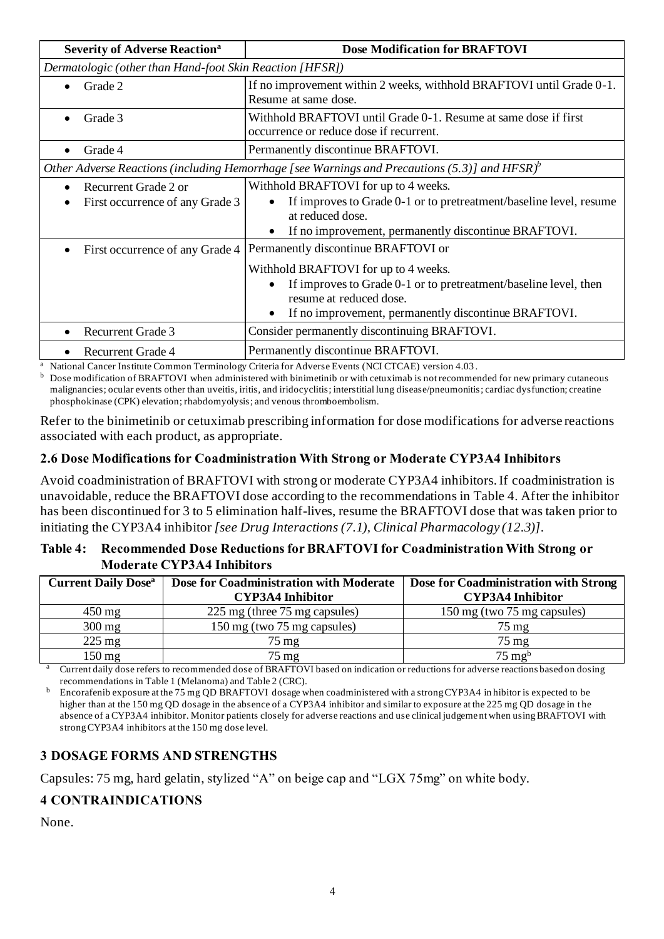| <b>Severity of Adverse Reaction<sup>a</sup></b>                      | <b>Dose Modification for BRAFTOVI</b>                                                                                                                                                                                              |  |  |  |  |
|----------------------------------------------------------------------|------------------------------------------------------------------------------------------------------------------------------------------------------------------------------------------------------------------------------------|--|--|--|--|
| Dermatologic (other than Hand-foot Skin Reaction [HFSR])             |                                                                                                                                                                                                                                    |  |  |  |  |
| Grade 2                                                              | If no improvement within 2 weeks, withhold BRAFTOVI until Grade 0-1.<br>Resume at same dose.                                                                                                                                       |  |  |  |  |
| Grade 3                                                              | Withhold BRAFTOVI until Grade 0-1. Resume at same dose if first<br>occurrence or reduce dose if recurrent.                                                                                                                         |  |  |  |  |
| Grade 4                                                              | Permanently discontinue BRAFTOVI.                                                                                                                                                                                                  |  |  |  |  |
|                                                                      | Other Adverse Reactions (including Hemorrhage [see Warnings and Precautions (5.3)] and HFSR $)^{b}$                                                                                                                                |  |  |  |  |
| Recurrent Grade 2 or<br>$\bullet$<br>First occurrence of any Grade 3 | Withhold BRAFTOVI for up to 4 weeks.<br>If improves to Grade 0-1 or to pretreatment/baseline level, resume<br>at reduced dose.<br>If no improvement, permanently discontinue BRAFTOVI.                                             |  |  |  |  |
| First occurrence of any Grade 4                                      | Permanently discontinue BRAFTOVI or<br>Withhold BRAFTOVI for up to 4 weeks.<br>If improves to Grade 0-1 or to pretreatment/baseline level, then<br>resume at reduced dose.<br>If no improvement, permanently discontinue BRAFTOVI. |  |  |  |  |
| <b>Recurrent Grade 3</b>                                             | Consider permanently discontinuing BRAFTOVI.                                                                                                                                                                                       |  |  |  |  |
| <b>Recurrent Grade 4</b>                                             | Permanently discontinue BRAFTOVI.                                                                                                                                                                                                  |  |  |  |  |

<sup>a</sup> National Cancer Institute Common Terminology Criteria for Adverse Events (NCI CTCAE) version 4.03.<br><sup>b</sup> Dese modification of BRA ETOVI when administered with binimatinih or with catuzimab is not recommon

<sup>b</sup> Dose modification of BRAFTOVI when administered with binimetinib or with cetuximab is not recommended for new primary cutaneous malignancies; ocular events other than uveitis, iritis, and iridocyclitis; interstitial lung disease/pneumonitis; cardiac dysfunction; creatine phosphokinase (CPK) elevation; rhabdomyolysis; and venous thromboembolism.

Refer to the binimetinib or cetuximab prescribing information for dose modifications for adverse reactions associated with each product, as appropriate.

#### **2.6 Dose Modifications for Coadministration With Strong or Moderate CYP3A4 Inhibitors**

Avoid coadministration of BRAFTOVI with strong or moderate CYP3A4 inhibitors. If coadministration is unavoidable, reduce the BRAFTOVI dose according to the recommendations in Table 4. After the inhibitor has been discontinued for 3 to 5 elimination half-lives, resume the BRAFTOVI dose that was taken prior to initiating the CYP3A4 inhibitor *[see Drug Interactions (7.1), Clinical Pharmacology (12.3)]*.

#### **Table 4: Recommended Dose Reductions for BRAFTOVI for CoadministrationWith Strong or Moderate CYP3A4 Inhibitors**

| <b>Current Daily Dose</b> <sup>a</sup><br>Dose for Coadministration with Moderate |                               | Dose for Coadministration with Strong |
|-----------------------------------------------------------------------------------|-------------------------------|---------------------------------------|
|                                                                                   | <b>CYP3A4 Inhibitor</b>       | <b>CYP3A4 Inhibitor</b>               |
| $450 \text{ mg}$                                                                  | 225 mg (three 75 mg capsules) | 150 mg (two 75 mg capsules)           |
| $300 \text{ mg}$                                                                  | 150 mg (two 75 mg capsules)   | $75 \text{ mg}$                       |
| $225 \text{ mg}$                                                                  | $75 \text{ mg}$               | $75 \text{ mg}$                       |
| $150 \text{ mg}$                                                                  | 75 mg                         | $75 \text{ mg}^{\text{b}}$            |

<sup>a</sup> Current daily dose refers to recommended dose of BRAFTOVI based on indication or reductions for adverse reactions based on dosing recommendations in Table 1 (Melanoma) and Table 2 (CRC).

<sup>b</sup> Encorafenib exposure at the 75 mg QD BRAFTOVI dosage when coadministered with a strong CYP3A4 in hibitor is expected to be higher than at the 150 mg OD dosage in the absence of a CYP3A4 inhibitor and similar to exposure at the 225 mg OD dosage in the absence of a CYP3A4 inhibitor. Monitor patients closely for adverse reactions and use clinical judgeme nt when using BRAFTOVI with strong CYP3A4 inhibitors at the 150 mg dose level.

## **3 DOSAGE FORMS AND STRENGTHS**

Capsules: 75 mg, hard gelatin, stylized "A" on beige cap and "LGX 75mg" on white body.

#### **4 CONTRAINDICATIONS**

None.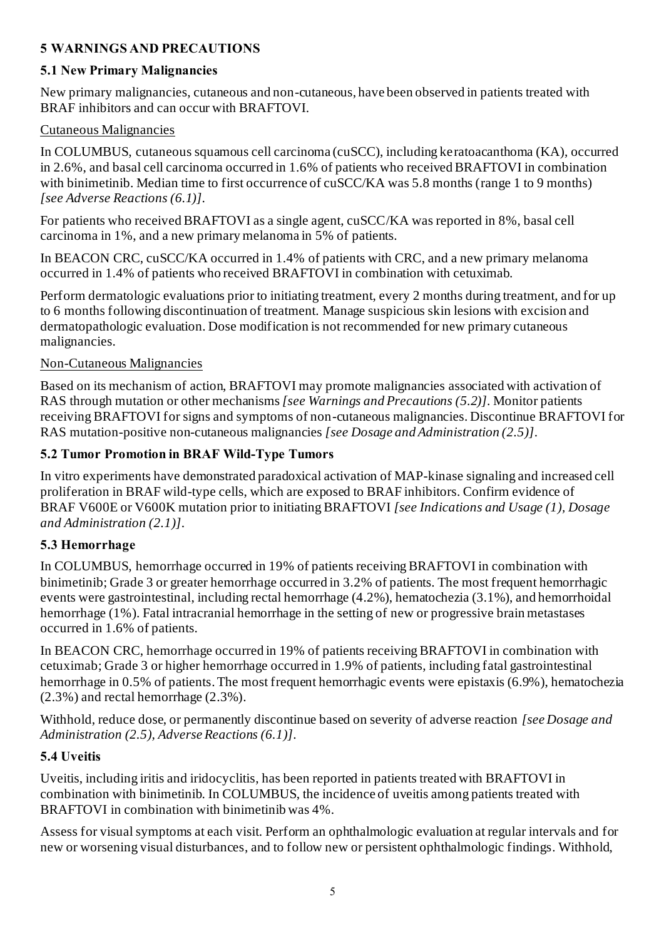## **5 WARNINGS AND PRECAUTIONS**

## **5.1 New Primary Malignancies**

New primary malignancies, cutaneous and non-cutaneous, have been observed in patients treated with BRAF inhibitors and can occur with BRAFTOVI.

## Cutaneous Malignancies

In COLUMBUS, cutaneous squamous cell carcinoma (cuSCC), including keratoacanthoma (KA), occurred in 2.6%, and basal cell carcinoma occurred in 1.6% of patients who received BRAFTOVI in combination with binimetinib. Median time to first occurrence of cuSCC/KA was 5.8 months (range 1 to 9 months) *[see Adverse Reactions (6.1)]*.

For patients who received BRAFTOVI as a single agent, cuSCC/KA was reported in 8%, basal cell carcinoma in 1%, and a new primary melanoma in 5% of patients.

In BEACON CRC, cuSCC/KA occurred in 1.4% of patients with CRC, and a new primary melanoma occurred in 1.4% of patients who received BRAFTOVI in combination with cetuximab.

Perform dermatologic evaluations prior to initiating treatment, every 2 months during treatment, and for up to 6 months following discontinuation of treatment. Manage suspicious skin lesions with excision and dermatopathologic evaluation. Dose modification is not recommended for new primary cutaneous malignancies.

## Non-Cutaneous Malignancies

Based on its mechanism of action, BRAFTOVI may promote malignancies associated with activation of RAS through mutation or other mechanisms *[see Warnings and Precautions (5.2)]*. Monitor patients receiving BRAFTOVI for signs and symptoms of non-cutaneous malignancies. Discontinue BRAFTOVI for RAS mutation-positive non-cutaneous malignancies *[see Dosage and Administration (2.5)]*.

# **5.2 Tumor Promotion in BRAF Wild-Type Tumors**

In vitro experiments have demonstrated paradoxical activation of MAP-kinase signaling and increased cell proliferation in BRAF wild-type cells, which are exposed to BRAF inhibitors. Confirm evidence of BRAF V600E or V600K mutation prior to initiating BRAFTOVI *[see Indications and Usage (1), Dosage and Administration (2.1)]*.

## **5.3 Hemorrhage**

In COLUMBUS, hemorrhage occurred in 19% of patients receiving BRAFTOVI in combination with binimetinib; Grade 3 or greater hemorrhage occurred in 3.2% of patients. The most frequent hemorrhagic events were gastrointestinal, including rectal hemorrhage (4.2%), hematochezia (3.1%), and hemorrhoidal hemorrhage (1%). Fatal intracranial hemorrhage in the setting of new or progressive brain metastases occurred in 1.6% of patients.

In BEACON CRC, hemorrhage occurred in 19% of patients receiving BRAFTOVI in combination with cetuximab; Grade 3 or higher hemorrhage occurred in 1.9% of patients, including fatal gastrointestinal hemorrhage in 0.5% of patients. The most frequent hemorrhagic events were epistaxis (6.9%), hematochezia (2.3%) and rectal hemorrhage (2.3%).

Withhold, reduce dose, or permanently discontinue based on severity of adverse reaction *[see Dosage and Administration (2.5), Adverse Reactions (6.1)]*.

## **5.4 Uveitis**

Uveitis, including iritis and iridocyclitis, has been reported in patients treated with BRAFTOVI in combination with binimetinib. In COLUMBUS, the incidence of uveitis among patients treated with BRAFTOVI in combination with binimetinib was 4%.

Assess for visual symptoms at each visit. Perform an ophthalmologic evaluation at regular intervals and for new or worsening visual disturbances, and to follow new or persistent ophthalmologic findings. Withhold,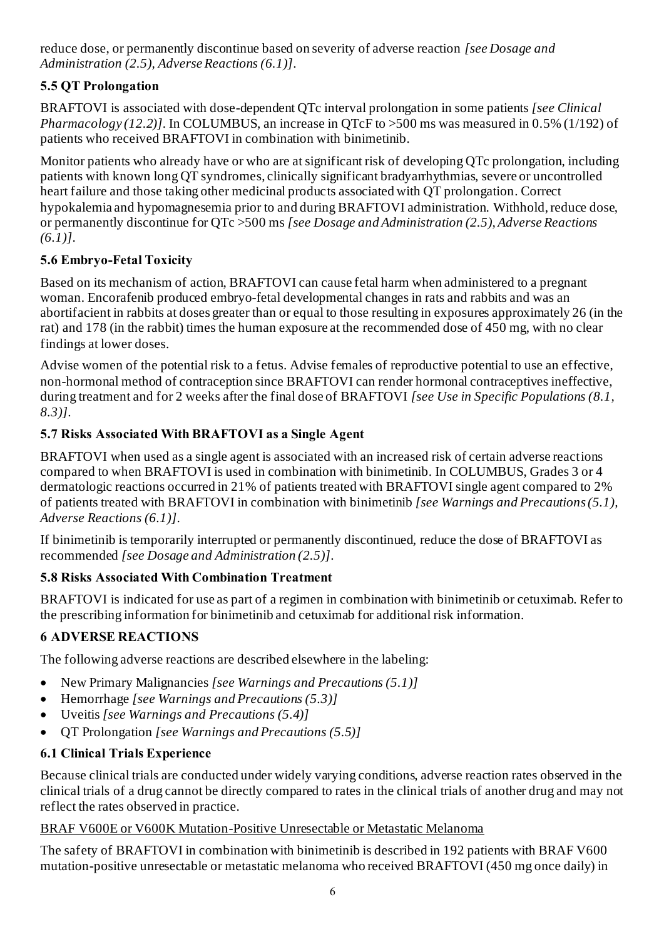reduce dose, or permanently discontinue based on severity of adverse reaction *[see Dosage and Administration (2.5), Adverse Reactions (6.1)]*.

# **5.5 QT Prolongation**

BRAFTOVI is associated with dose-dependent QTc interval prolongation in some patients *[see Clinical Pharmacology (12.2)]*. In COLUMBUS, an increase in QTcF to >500 ms was measured in 0.5% (1/192) of patients who received BRAFTOVI in combination with binimetinib.

Monitor patients who already have or who are at significant risk of developing QTc prolongation, including patients with known long QT syndromes, clinically significant bradyarrhythmias, severe or uncontrolled heart failure and those taking other medicinal products associated with QT prolongation. Correct hypokalemia and hypomagnesemia prior to and during BRAFTOVI administration. Withhold, reduce dose, or permanently discontinue for QTc >500 ms *[see Dosage and Administration (2.5), Adverse Reactions (6.1)]*.

# **5.6 Embryo-Fetal Toxicity**

Based on its mechanism of action, BRAFTOVI can cause fetal harm when administered to a pregnant woman. Encorafenib produced embryo-fetal developmental changes in rats and rabbits and was an abortifacient in rabbits at doses greater than or equal to those resulting in exposures approximately 26 (in the rat) and 178 (in the rabbit) times the human exposure at the recommended dose of 450 mg, with no clear findings at lower doses.

Advise women of the potential risk to a fetus. Advise females of reproductive potential to use an effective, non-hormonal method of contraception since BRAFTOVI can render hormonal contraceptives ineffective, during treatment and for 2 weeks after the final dose of BRAFTOVI *[see Use in Specific Populations (8.1, 8.3)]*.

# **5.7 Risks Associated With BRAFTOVI as a Single Agent**

BRAFTOVI when used as a single agent is associated with an increased risk of certain adverse reactions compared to when BRAFTOVI is used in combination with binimetinib. In COLUMBUS, Grades 3 or 4 dermatologic reactions occurred in 21% of patients treated with BRAFTOVI single agent compared to 2% of patients treated with BRAFTOVI in combination with binimetinib *[see Warnings and Precautions (5.1), Adverse Reactions (6.1)]*.

If binimetinib is temporarily interrupted or permanently discontinued, reduce the dose of BRAFTOVI as recommended *[see Dosage and Administration (2.5)]*.

# **5.8 Risks Associated With Combination Treatment**

BRAFTOVI is indicated for use as part of a regimen in combination with binimetinib or cetuximab. Refer to the prescribing information for binimetinib and cetuximab for additional risk information.

# **6 ADVERSE REACTIONS**

The following adverse reactions are described elsewhere in the labeling:

- New Primary Malignancies *[see Warnings and Precautions (5.1)]*
- Hemorrhage *[see Warnings and Precautions (5.3)]*
- Uveitis *[see Warnings and Precautions (5.4)]*
- QT Prolongation *[see Warnings and Precautions (5.5)]*

# **6.1 Clinical Trials Experience**

Because clinical trials are conducted under widely varying conditions, adverse reaction rates observed in the clinical trials of a drug cannot be directly compared to rates in the clinical trials of another drug and may not reflect the rates observed in practice.

# BRAF V600E or V600K Mutation-Positive Unresectable or Metastatic Melanoma

The safety of BRAFTOVI in combination with binimetinib is described in 192 patients with BRAF V600 mutation-positive unresectable or metastatic melanoma who received BRAFTOVI (450 mg once daily) in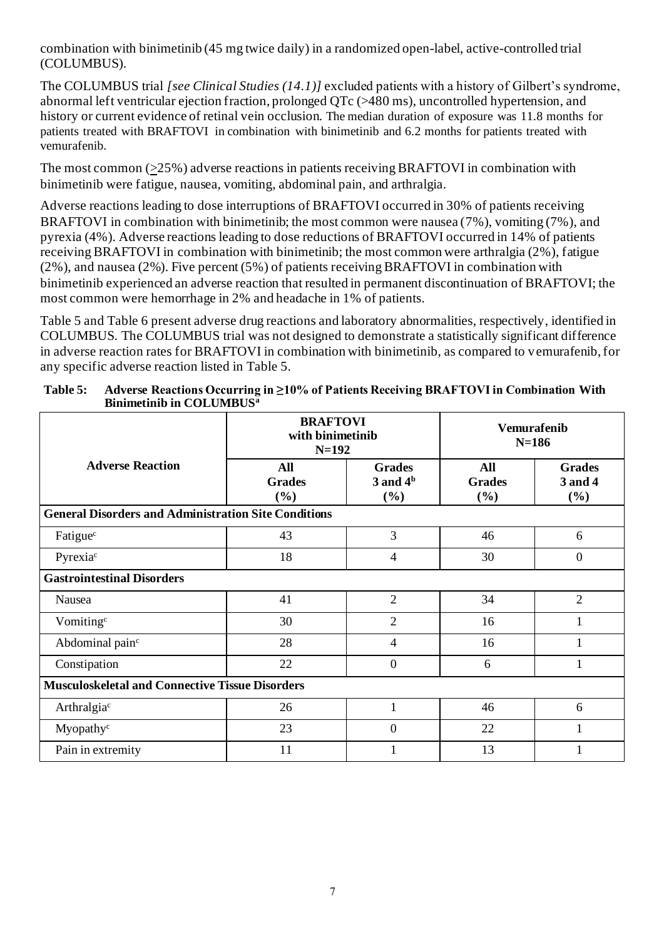combination with binimetinib (45 mg twice daily) in a randomized open-label, active-controlled trial (COLUMBUS).

The COLUMBUS trial *[see Clinical Studies (14.1)]* excluded patients with a history of Gilbert's syndrome, abnormal left ventricular ejection fraction, prolonged QTc (>480 ms), uncontrolled hypertension, and history or current evidence of retinal vein occlusion. The median duration of exposure was 11.8 months for patients treated with BRAFTOVI in combination with binimetinib and 6.2 months for patients treated with vemurafenib.

The most common (>25%) adverse reactions in patients receiving BRAFTOVI in combination with binimetinib were fatigue, nausea, vomiting, abdominal pain, and arthralgia.

Adverse reactions leading to dose interruptions of BRAFTOVI occurred in 30% of patients receiving BRAFTOVI in combination with binimetinib; the most common were nausea (7%), vomiting (7%), and pyrexia (4%). Adverse reactions leading to dose reductions of BRAFTOVI occurred in 14% of patients receiving BRAFTOVI in combination with binimetinib; the most common were arthralgia (2%), fatigue (2%), and nausea (2%). Five percent (5%) of patients receiving BRAFTOVI in combination with binimetinib experienced an adverse reaction that resulted in permanent discontinuation of BRAFTOVI; the most common were hemorrhage in 2% and headache in 1% of patients.

Table 5 and Table 6 present adverse drug reactions and laboratory abnormalities, respectively, identified in COLUMBUS. The COLUMBUS trial was not designed to demonstrate a statistically significant difference in adverse reaction rates for BRAFTOVI in combination with binimetinib, as compared to vemurafenib, for any specific adverse reaction listed in Table 5.

|                                                             | <b>BRAFTOVI</b><br>with binimetinib<br>$N=192$ |                                         | <b>Vemurafenib</b><br>$N=186$         |                                 |  |  |
|-------------------------------------------------------------|------------------------------------------------|-----------------------------------------|---------------------------------------|---------------------------------|--|--|
| <b>Adverse Reaction</b>                                     | <b>All</b><br><b>Grades</b><br>(%)             | <b>Grades</b><br>$3$ and $4b$<br>$(\%)$ | <b>All</b><br><b>Grades</b><br>$(\%)$ | <b>Grades</b><br>3 and 4<br>(%) |  |  |
| <b>General Disorders and Administration Site Conditions</b> |                                                |                                         |                                       |                                 |  |  |
| Fatigue <sup>c</sup>                                        | 43                                             | 3                                       | 46                                    | 6                               |  |  |
| Pyrexiac                                                    | 18                                             | 4                                       | 30                                    | $\theta$                        |  |  |
| <b>Gastrointestinal Disorders</b>                           |                                                |                                         |                                       |                                 |  |  |
| Nausea                                                      | 41                                             | $\overline{2}$                          | 34                                    | $\overline{2}$                  |  |  |
| Vomiting <sup>c</sup>                                       | 30                                             | $\overline{2}$                          | 16                                    |                                 |  |  |
| Abdominal pain <sup>c</sup>                                 | 28                                             | 4                                       | 16                                    |                                 |  |  |
| Constipation                                                | 22                                             | $\mathbf{0}$                            | 6                                     |                                 |  |  |
| <b>Musculoskeletal and Connective Tissue Disorders</b>      |                                                |                                         |                                       |                                 |  |  |
| Arthralgiac                                                 | 26                                             |                                         | 46                                    | 6                               |  |  |
| Myopathy <sup>c</sup>                                       | 23                                             | $\overline{0}$                          | 22                                    |                                 |  |  |
| Pain in extremity                                           | 11                                             |                                         | 13                                    |                                 |  |  |

**Table 5: Adverse Reactions Occurring in ≥10% of Patients Receiving BRAFTOVI in Combination With Binimetinib in COLUMBUS<sup>a</sup>**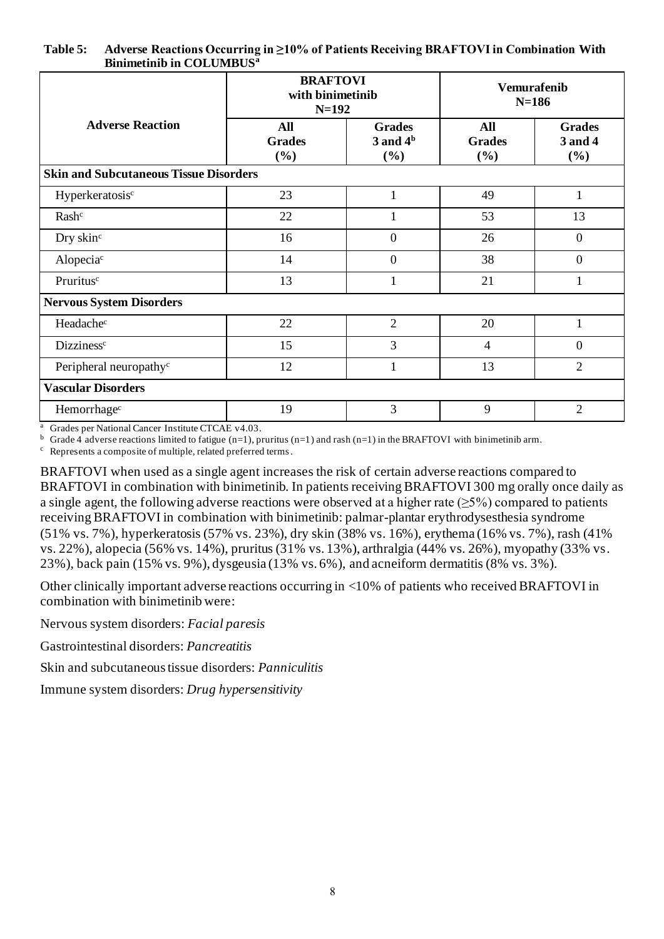| <b>Table 5:</b> | Adverse Reactions Occurring in $\geq$ 10% of Patients Receiving BRAFTOVI in Combination With |
|-----------------|----------------------------------------------------------------------------------------------|
|                 | <b>Binimetinib in COLUMBUS<sup>a</sup></b>                                                   |

|                                               | <b>BRAFTOVI</b><br>with binimetinib<br>$N = 192$ |                                         | <b>Vemurafenib</b><br>$N = 186$       |                                 |  |  |  |
|-----------------------------------------------|--------------------------------------------------|-----------------------------------------|---------------------------------------|---------------------------------|--|--|--|
| <b>Adverse Reaction</b>                       | All<br><b>Grades</b><br>(%)                      | <b>Grades</b><br>$3$ and $4b$<br>$(\%)$ | <b>All</b><br><b>Grades</b><br>$(\%)$ | <b>Grades</b><br>3 and 4<br>(%) |  |  |  |
| <b>Skin and Subcutaneous Tissue Disorders</b> |                                                  |                                         |                                       |                                 |  |  |  |
| Hyperkeratosisc                               | 23                                               | $\mathbf{1}$                            | 49                                    | 1                               |  |  |  |
| Rash <sup>c</sup>                             | 22                                               |                                         | 53                                    | 13                              |  |  |  |
| Dry skin <sup>c</sup>                         | 16                                               | $\mathbf{0}$                            | 26                                    | $\mathbf{0}$                    |  |  |  |
| Alopecia <sup>c</sup>                         | 14                                               | $\boldsymbol{0}$                        | 38                                    | $\boldsymbol{0}$                |  |  |  |
| Pruritusc                                     | 13                                               | 1                                       | 21                                    | 1                               |  |  |  |
| <b>Nervous System Disorders</b>               |                                                  |                                         |                                       |                                 |  |  |  |
| Headachec                                     | 22                                               | $\overline{2}$                          | 20                                    | $\mathbf{1}$                    |  |  |  |
| Dizziness <sup>c</sup>                        | 15                                               | 3                                       | $\overline{4}$                        | $\overline{0}$                  |  |  |  |
| Peripheral neuropathy <sup>c</sup>            | 12                                               | 1                                       | 13                                    | $\overline{2}$                  |  |  |  |
| <b>Vascular Disorders</b>                     |                                                  |                                         |                                       |                                 |  |  |  |
| Hemorrhage <sup>c</sup>                       | 19                                               | 3                                       | 9                                     | $\overline{2}$                  |  |  |  |

<sup>a</sup> Grades per National Cancer Institute CTCAE v4.03.

 $<sup>b</sup>$  Grade 4 adverse reactions limited to fatigue (n=1), pruritus (n=1) and rash (n=1) in the BRAFTOVI with binimetinib arm.</sup>

<sup>c</sup> Represents a composite of multiple, related preferred terms.

BRAFTOVI when used as a single agent increases the risk of certain adverse reactions compared to BRAFTOVI in combination with binimetinib. In patients receiving BRAFTOVI 300 mg orally once daily as a single agent, the following adverse reactions were observed at a higher rate  $(\geq 5\%)$  compared to patients receiving BRAFTOVI in combination with binimetinib: palmar-plantar erythrodysesthesia syndrome (51% vs. 7%), hyperkeratosis (57% vs. 23%), dry skin (38% vs. 16%), erythema (16% vs. 7%), rash (41% vs. 22%), alopecia (56% vs. 14%), pruritus (31% vs. 13%), arthralgia (44% vs. 26%), myopathy (33% vs. 23%), back pain (15% vs. 9%), dysgeusia (13% vs. 6%), and acneiform dermatitis (8% vs. 3%).

Other clinically important adverse reactions occurring in <10% of patients who received BRAFTOVI in combination with binimetinib were:

Nervous system disorders: *Facial paresis*

Gastrointestinal disorders: *Pancreatitis*

Skin and subcutaneous tissue disorders: *Panniculitis*

Immune system disorders: *Drug hypersensitivity*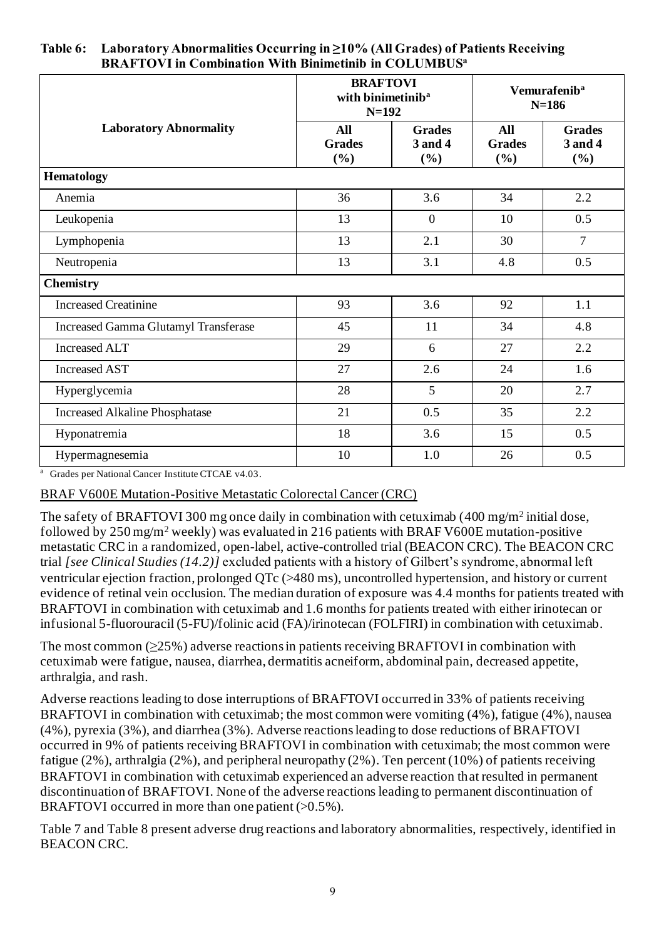|                                             | <b>BRAFTOVI</b><br>with binimetinib <sup>a</sup><br>$N=192$ |                                    | Vemurafenib <sup>a</sup><br>$N=186$ |                                    |  |
|---------------------------------------------|-------------------------------------------------------------|------------------------------------|-------------------------------------|------------------------------------|--|
| <b>Laboratory Abnormality</b>               | <b>All</b><br><b>Grades</b><br>(%)                          | <b>Grades</b><br>3 and 4<br>$(\%)$ | All<br><b>Grades</b><br>(%)         | <b>Grades</b><br>3 and 4<br>$(\%)$ |  |
| <b>Hematology</b>                           |                                                             |                                    |                                     |                                    |  |
| Anemia                                      | 36                                                          | 3.6                                | 34                                  | 2.2                                |  |
| Leukopenia                                  | 13                                                          | $\mathbf{0}$                       | 10                                  | 0.5                                |  |
| Lymphopenia                                 | 13                                                          | 2.1                                | 30                                  | $\overline{7}$                     |  |
| Neutropenia                                 | 13                                                          | 3.1                                | 4.8                                 | 0.5                                |  |
| <b>Chemistry</b>                            |                                                             |                                    |                                     |                                    |  |
| <b>Increased Creatinine</b>                 | 93                                                          | 3.6                                | 92                                  | 1.1                                |  |
| <b>Increased Gamma Glutamyl Transferase</b> | 45                                                          | 11                                 | 34                                  | 4.8                                |  |
| <b>Increased ALT</b>                        | 29                                                          | 6                                  | 27                                  | 2.2                                |  |
| <b>Increased AST</b>                        | 27                                                          | 2.6                                | 24                                  | 1.6                                |  |
| Hyperglycemia                               | 28                                                          | 5                                  | 20                                  | 2.7                                |  |
| <b>Increased Alkaline Phosphatase</b>       | 21                                                          | 0.5                                | 35                                  | 2.2                                |  |
| Hyponatremia                                | 18                                                          | 3.6                                | 15                                  | 0.5                                |  |
| Hypermagnesemia                             | 10                                                          | 1.0                                | 26                                  | 0.5                                |  |

#### **Table 6: Laboratory Abnormalities Occurring in ≥10% (All Grades) of Patients Receiving BRAFTOVI in Combination With Binimetinib in COLUMBUS<sup>a</sup>**

<sup>a</sup> Grades per National Cancer Institute CTCAE v4.03.

## BRAF V600E Mutation-Positive Metastatic Colorectal Cancer (CRC)

The safety of BRAFTOVI 300 mg once daily in combination with cetuximab (400 mg/m<sup>2</sup> initial dose, followed by 250 mg/m<sup>2</sup> weekly) was evaluated in 216 patients with BRAF V600E mutation-positive metastatic CRC in a randomized, open-label, active-controlled trial (BEACON CRC). The BEACON CRC trial *[see Clinical Studies (14.2)]* excluded patients with a history of Gilbert's syndrome, abnormal left ventricular ejection fraction, prolonged QTc (>480 ms), uncontrolled hypertension, and history or current evidence of retinal vein occlusion. The median duration of exposure was 4.4 months for patients treated with BRAFTOVI in combination with cetuximab and 1.6 months for patients treated with either irinotecan or infusional 5-fluorouracil (5-FU)/folinic acid (FA)/irinotecan (FOLFIRI) in combination with cetuximab.

The most common  $(\geq 25\%)$  adverse reactions in patients receiving BRAFTOVI in combination with cetuximab were fatigue, nausea, diarrhea, dermatitis acneiform, abdominal pain, decreased appetite, arthralgia, and rash.

Adverse reactions leading to dose interruptions of BRAFTOVI occurred in 33% of patients receiving BRAFTOVI in combination with cetuximab; the most common were vomiting (4%), fatigue (4%), nausea (4%), pyrexia (3%), and diarrhea (3%). Adverse reactions leading to dose reductions of BRAFTOVI occurred in 9% of patients receiving BRAFTOVI in combination with cetuximab; the most common were fatigue (2%), arthralgia (2%), and peripheral neuropathy (2%). Ten percent (10%) of patients receiving BRAFTOVI in combination with cetuximab experienced an adverse reaction that resulted in permanent discontinuation of BRAFTOVI. None of the adverse reactions leading to permanent discontinuation of BRAFTOVI occurred in more than one patient  $(>0.5\%)$ .

Table 7 and Table 8 present adverse drug reactions and laboratory abnormalities, respectively, identified in BEACON CRC.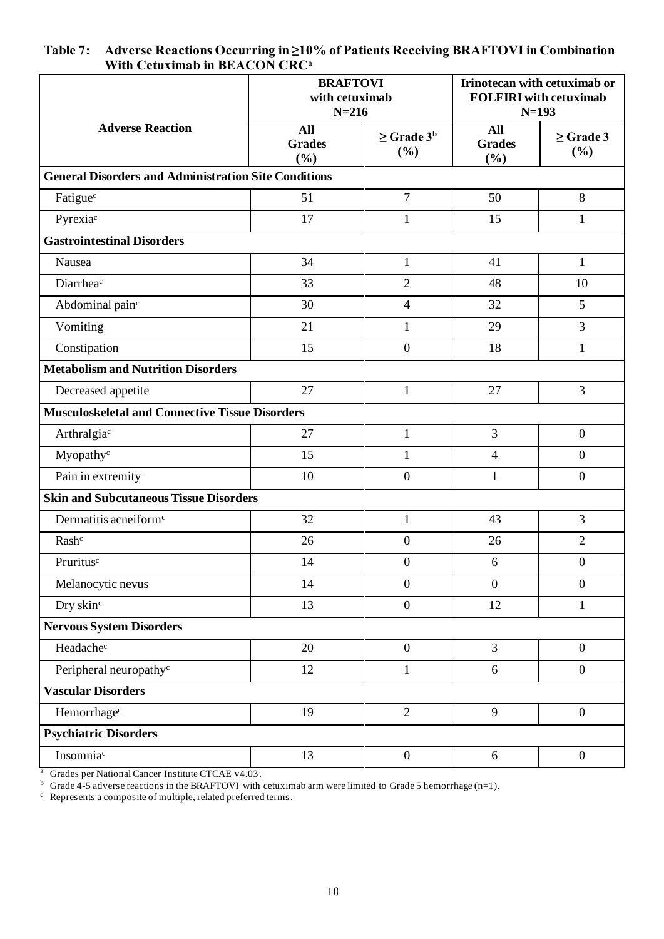|                                                             |                                    | <b>BRAFTOVI</b><br>with cetuximab<br>$N = 216$ |                                    | Irinotecan with cetuximab or<br><b>FOLFIRI</b> with cetuximab<br>$N=193$ |  |
|-------------------------------------------------------------|------------------------------------|------------------------------------------------|------------------------------------|--------------------------------------------------------------------------|--|
| <b>Adverse Reaction</b>                                     | <b>All</b><br><b>Grades</b><br>(%) | $\geq$ Grade 3 <sup>b</sup><br>(%)             | <b>All</b><br><b>Grades</b><br>(%) | $\geq$ Grade 3<br>(%)                                                    |  |
| <b>General Disorders and Administration Site Conditions</b> |                                    |                                                |                                    |                                                                          |  |
| Fatigue <sup>c</sup>                                        | 51                                 | $\overline{7}$                                 | 50                                 | $\,8\,$                                                                  |  |
| Pyrexiac                                                    | 17                                 | $\mathbf{1}$                                   | 15                                 | $\mathbf{1}$                                                             |  |
| <b>Gastrointestinal Disorders</b>                           |                                    |                                                |                                    |                                                                          |  |
| Nausea                                                      | 34                                 | 1                                              | 41                                 | $\mathbf{1}$                                                             |  |
| Diarrheac                                                   | 33                                 | $\overline{2}$                                 | 48                                 | 10                                                                       |  |
| Abdominal pain <sup>c</sup>                                 | 30                                 | $\overline{4}$                                 | 32                                 | 5                                                                        |  |
| Vomiting                                                    | 21                                 | $\mathbf{1}$                                   | 29                                 | 3                                                                        |  |
| Constipation                                                | 15                                 | $\boldsymbol{0}$                               | 18                                 | $\mathbf{1}$                                                             |  |
| <b>Metabolism and Nutrition Disorders</b>                   |                                    |                                                |                                    |                                                                          |  |
| Decreased appetite                                          | 27                                 | $\mathbf{1}$                                   | 27                                 | 3                                                                        |  |
| <b>Musculoskeletal and Connective Tissue Disorders</b>      |                                    |                                                |                                    |                                                                          |  |
| Arthralgiac                                                 | 27                                 | $\mathbf{1}$                                   | 3                                  | $\boldsymbol{0}$                                                         |  |
| Myopathy <sup>c</sup>                                       | 15                                 | 1                                              | $\overline{4}$                     | $\overline{0}$                                                           |  |
| Pain in extremity                                           | 10                                 | $\boldsymbol{0}$                               | $\mathbf{1}$                       | $\boldsymbol{0}$                                                         |  |
| <b>Skin and Subcutaneous Tissue Disorders</b>               |                                    |                                                |                                    |                                                                          |  |
| Dermatitis acneiform <sup>c</sup>                           | 32                                 | $\mathbf{1}$                                   | 43                                 | 3                                                                        |  |
| Rash <sup>c</sup>                                           | 26                                 | $\boldsymbol{0}$                               | 26                                 | $\overline{2}$                                                           |  |
| Pruritus <sup>c</sup>                                       | 14                                 | $\boldsymbol{0}$                               | 6                                  | $\boldsymbol{0}$                                                         |  |
| Melanocytic nevus                                           | 14                                 | $\boldsymbol{0}$                               | $\overline{0}$                     | $\boldsymbol{0}$                                                         |  |
| Dry skin <sup>c</sup>                                       | 13                                 | $\boldsymbol{0}$                               | 12                                 | $\mathbf{1}$                                                             |  |
| <b>Nervous System Disorders</b>                             |                                    |                                                |                                    |                                                                          |  |
| Headachec                                                   | 20                                 | $\boldsymbol{0}$                               | $\overline{3}$                     | $\overline{0}$                                                           |  |
| Peripheral neuropathy <sup>c</sup>                          | 12                                 | $\mathbf{1}$                                   | 6                                  | $\overline{0}$                                                           |  |
| <b>Vascular Disorders</b>                                   |                                    |                                                |                                    |                                                                          |  |
| Hemorrhage <sup>c</sup>                                     | 19                                 | $\overline{2}$                                 | 9                                  | $\overline{0}$                                                           |  |
| <b>Psychiatric Disorders</b>                                |                                    |                                                |                                    |                                                                          |  |
| Insomnia <sup>c</sup>                                       | 13                                 | $\boldsymbol{0}$                               | 6                                  | $\boldsymbol{0}$                                                         |  |
|                                                             |                                    |                                                |                                    |                                                                          |  |

#### **Table 7: Adverse Reactions Occurring in ≥10% of Patients Receiving BRAFTOVI in Combination With Cetuximab in BEACON CRC**<sup>a</sup>

<sup>a</sup> Grades per National Cancer Institute CTCAE v4.03.

<sup>b</sup> Grade 4-5 adverse reactions in the BRAFTOVI with cetuximab arm were limited to Grade 5 hemorrhage (n=1).

 $c$  Represents a composite of multiple, related preferred terms.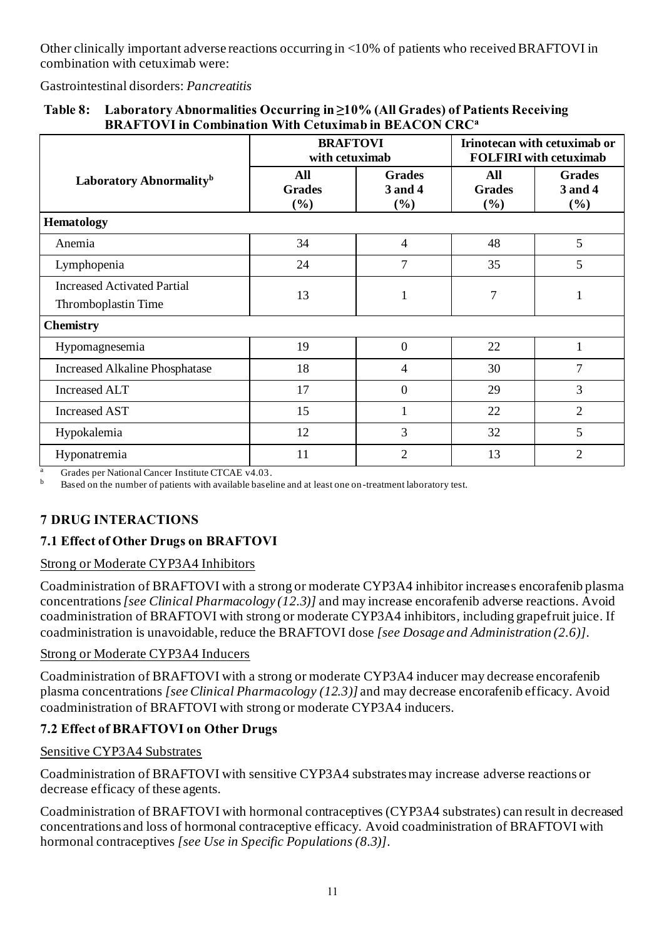Other clinically important adverse reactions occurring in <10% of patients who received BRAFTOVI in combination with cetuximab were:

Gastrointestinal disorders: *Pancreatitis*

|                                                           | <b>BRAFTOVI</b><br>with cetuximab  |                                 | Irinotecan with cetuximab or<br><b>FOLFIRI</b> with cetuximab |                                 |
|-----------------------------------------------------------|------------------------------------|---------------------------------|---------------------------------------------------------------|---------------------------------|
| Laboratory Abnormality <sup>b</sup>                       | <b>All</b><br><b>Grades</b><br>(%) | <b>Grades</b><br>3 and 4<br>(%) | All<br><b>Grades</b><br>(%)                                   | <b>Grades</b><br>3 and 4<br>(%) |
| <b>Hematology</b>                                         |                                    |                                 |                                                               |                                 |
| Anemia                                                    | 34                                 | $\overline{4}$                  | 48                                                            | 5                               |
| Lymphopenia                                               | 24                                 | 7                               | 35                                                            | 5                               |
| <b>Increased Activated Partial</b><br>Thromboplastin Time | 13                                 | $\mathbf{1}$                    | 7                                                             |                                 |
| <b>Chemistry</b>                                          |                                    |                                 |                                                               |                                 |
| Hypomagnesemia                                            | 19                                 | $\mathbf{0}$                    | 22                                                            | 1                               |
| <b>Increased Alkaline Phosphatase</b>                     | 18                                 | 4                               | 30                                                            | 7                               |
| <b>Increased ALT</b>                                      | 17                                 | $\boldsymbol{0}$                | 29                                                            | 3                               |
| <b>Increased AST</b>                                      | 15                                 | 1                               | 22                                                            | $\overline{2}$                  |
| Hypokalemia                                               | 12                                 | 3                               | 32                                                            | 5                               |
| Hyponatremia                                              | 11                                 | $\overline{2}$                  | 13                                                            | $\overline{2}$                  |

#### **Table 8: Laboratory Abnormalities Occurring in ≥10% (All Grades) of Patients Receiving BRAFTOVI in Combination With Cetuximab in BEACON CRC<sup>a</sup>**

<sup>a</sup> Grades per National Cancer Institute CTCAE  $v4.03$ .

<sup>b</sup> Based on the number of patients with available baseline and at least one on -treatment laboratory test.

# **7 DRUG INTERACTIONS**

# **7.1 Effect of Other Drugs on BRAFTOVI**

## Strong or Moderate CYP3A4 Inhibitors

Coadministration of BRAFTOVI with a strong or moderate CYP3A4 inhibitor increases encorafenib plasma concentrations *[see Clinical Pharmacology (12.3)]* and may increase encorafenib adverse reactions. Avoid coadministration of BRAFTOVI with strong or moderate CYP3A4 inhibitors, including grapefruit juice. If coadministration is unavoidable, reduce the BRAFTOVI dose *[see Dosage and Administration (2.6)]*.

#### Strong or Moderate CYP3A4 Inducers

Coadministration of BRAFTOVI with a strong or moderate CYP3A4 inducer may decrease encorafenib plasma concentrations *[see Clinical Pharmacology (12.3)]* and may decrease encorafenib efficacy. Avoid coadministration of BRAFTOVI with strong or moderate CYP3A4 inducers.

## **7.2 Effect of BRAFTOVI on Other Drugs**

#### Sensitive CYP3A4 Substrates

Coadministration of BRAFTOVI with sensitive CYP3A4 substrates may increase adverse reactions or decrease efficacy of these agents.

Coadministration of BRAFTOVI with hormonal contraceptives (CYP3A4 substrates) can result in decreased concentrations and loss of hormonal contraceptive efficacy. Avoid coadministration of BRAFTOVI with hormonal contraceptives *[see Use in Specific Populations (8.3)]*.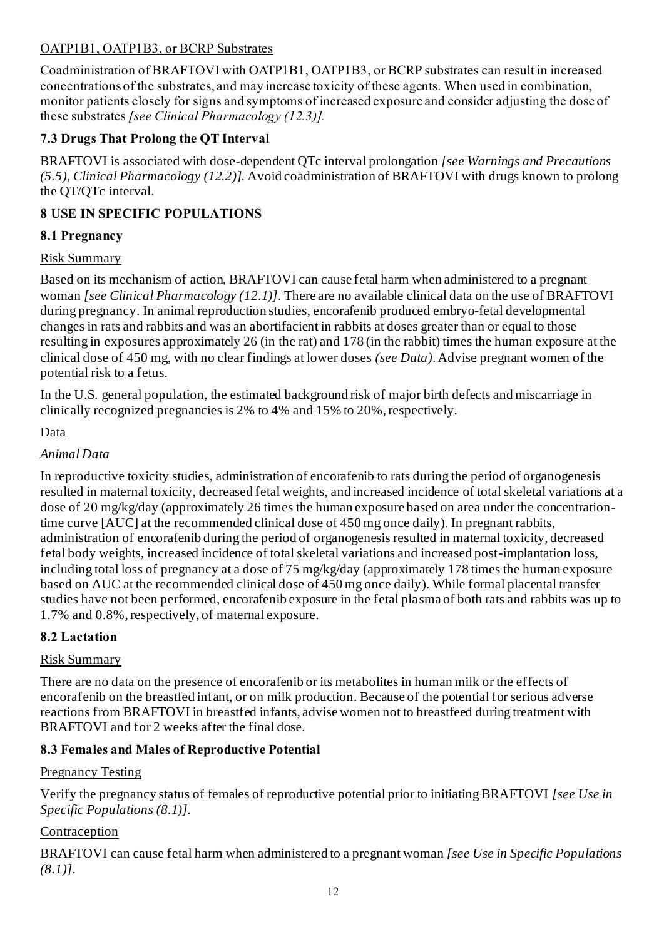# OATP1B1, OATP1B3, or BCRP Substrates

Coadministration of BRAFTOVI with OATP1B1, OATP1B3, or BCRP substrates can result in increased concentrations of the substrates, and may increase toxicity of these agents. When used in combination, monitor patients closely for signs and symptoms of increased exposure and consider adjusting the dose of these substrates *[see Clinical Pharmacology (12.3)].*

# **7.3 Drugs That Prolong the QT Interval**

BRAFTOVI is associated with dose-dependent QTc interval prolongation *[see Warnings and Precautions (5.5), Clinical Pharmacology (12.2)]*. Avoid coadministration of BRAFTOVI with drugs known to prolong the QT/QTc interval.

# **8 USE IN SPECIFIC POPULATIONS**

## **8.1 Pregnancy**

### Risk Summary

Based on its mechanism of action, BRAFTOVI can cause fetal harm when administered to a pregnant woman *[see Clinical Pharmacology (12.1)]*. There are no available clinical data on the use of BRAFTOVI during pregnancy. In animal reproduction studies, encorafenib produced embryo-fetal developmental changes in rats and rabbits and was an abortifacient in rabbits at doses greater than or equal to those resulting in exposures approximately 26 (in the rat) and 178 (in the rabbit) times the human exposure at the clinical dose of 450 mg, with no clear findings at lower doses *(see Data)*. Advise pregnant women of the potential risk to a fetus.

In the U.S. general population, the estimated background risk of major birth defects and miscarriage in clinically recognized pregnancies is 2% to 4% and 15% to 20%, respectively.

## Data

## *Animal Data*

In reproductive toxicity studies, administration of encorafenib to rats during the period of organogenesis resulted in maternal toxicity, decreased fetal weights, and increased incidence of total skeletal variations at a dose of 20 mg/kg/day (approximately 26 times the human exposure based on area under the concentrationtime curve [AUC] at the recommended clinical dose of 450 mg once daily). In pregnant rabbits, administration of encorafenib during the period of organogenesis resulted in maternal toxicity, decreased fetal body weights, increased incidence of total skeletal variations and increased post-implantation loss, including total loss of pregnancy at a dose of 75 mg/kg/day (approximately 178 times the human exposure based on AUC at the recommended clinical dose of 450 mg once daily). While formal placental transfer studies have not been performed, encorafenib exposure in the fetal plasma of both rats and rabbits was up to 1.7% and 0.8%, respectively, of maternal exposure.

## **8.2 Lactation**

## Risk Summary

There are no data on the presence of encorafenib or its metabolites in human milk or the effects of encorafenib on the breastfed infant, or on milk production. Because of the potential for serious adverse reactions from BRAFTOVI in breastfed infants, advise women not to breastfeed during treatment with BRAFTOVI and for 2 weeks after the final dose.

## **8.3 Females and Males of Reproductive Potential**

#### Pregnancy Testing

Verify the pregnancy status of females of reproductive potential prior to initiating BRAFTOVI *[see Use in Specific Populations (8.1)].*

## Contraception

BRAFTOVI can cause fetal harm when administered to a pregnant woman *[see Use in Specific Populations (8.1)]*.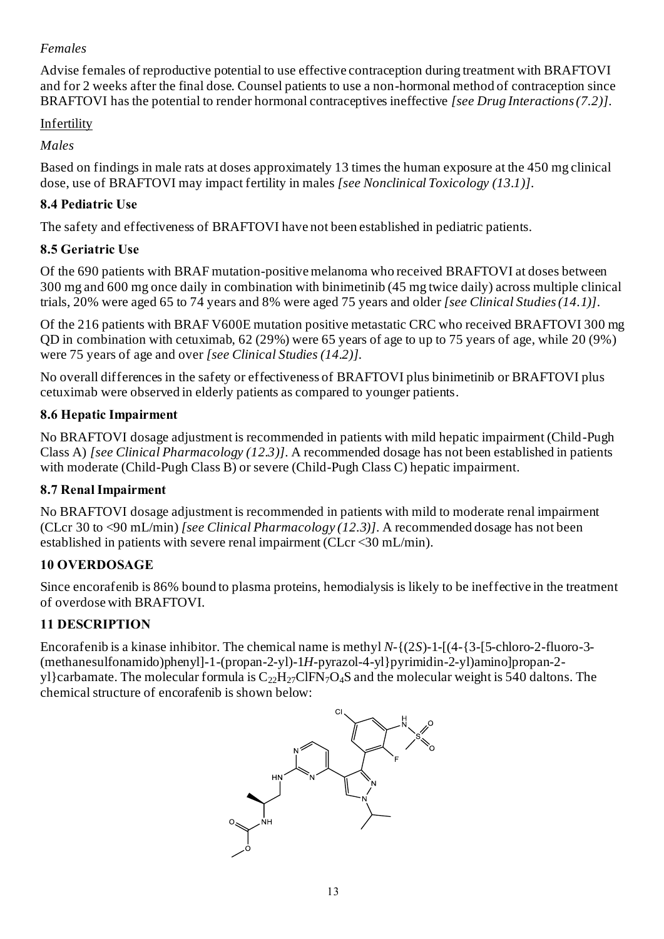## *Females*

Advise females of reproductive potential to use effective contraception during treatment with BRAFTOVI and for 2 weeks after the final dose. Counsel patients to use a non-hormonal method of contraception since BRAFTOVI has the potential to render hormonal contraceptives ineffective *[see Drug Interactions (7.2)]*.

# Infertility

# *Males*

Based on findings in male rats at doses approximately 13 times the human exposure at the 450 mg clinical dose, use of BRAFTOVI may impact fertility in males *[see Nonclinical Toxicology (13.1)]*.

# **8.4 Pediatric Use**

The safety and effectiveness of BRAFTOVI have not been established in pediatric patients.

# **8.5 Geriatric Use**

Of the 690 patients with BRAF mutation-positive melanoma who received BRAFTOVI at doses between 300 mg and 600 mg once daily in combination with binimetinib (45 mg twice daily) across multiple clinical trials, 20% were aged 65 to 74 years and 8% were aged 75 years and older *[see Clinical Studies (14.1)]*.

Of the 216 patients with BRAF V600E mutation positive metastatic CRC who received BRAFTOVI 300 mg QD in combination with cetuximab, 62 (29%) were 65 years of age to up to 75 years of age, while 20 (9%) were 75 years of age and over *[see Clinical Studies (14.2)].*

No overall differences in the safety or effectiveness of BRAFTOVI plus binimetinib or BRAFTOVI plus cetuximab were observed in elderly patients as compared to younger patients.

# **8.6 Hepatic Impairment**

No BRAFTOVI dosage adjustment is recommended in patients with mild hepatic impairment (Child-Pugh Class A) *[see Clinical Pharmacology (12.3)]*. A recommended dosage has not been established in patients with moderate (Child-Pugh Class B) or severe (Child-Pugh Class C) hepatic impairment.

# **8.7 Renal Impairment**

No BRAFTOVI dosage adjustment is recommended in patients with mild to moderate renal impairment (CLcr 30 to <90 mL/min) *[see Clinical Pharmacology (12.3)]*. A recommended dosage has not been established in patients with severe renal impairment (CLcr <30 mL/min).

# **10 OVERDOSAGE**

Since encorafenib is 86% bound to plasma proteins, hemodialysis is likely to be ineffective in the treatment of overdose with BRAFTOVI.

# **11 DESCRIPTION**

Encorafenib is a kinase inhibitor. The chemical name is methyl *N*-{(2*S*)-1-[(4-{3-[5-chloro-2-fluoro-3- (methanesulfonamido)phenyl]-1-(propan-2-yl)-1*H*-pyrazol-4-yl}pyrimidin-2-yl)amino]propan-2 yl}carbamate. The molecular formula is  $C_{22}H_{27}CIFN_7O_4S$  and the molecular weight is 540 daltons. The chemical structure of encorafenib is shown below:

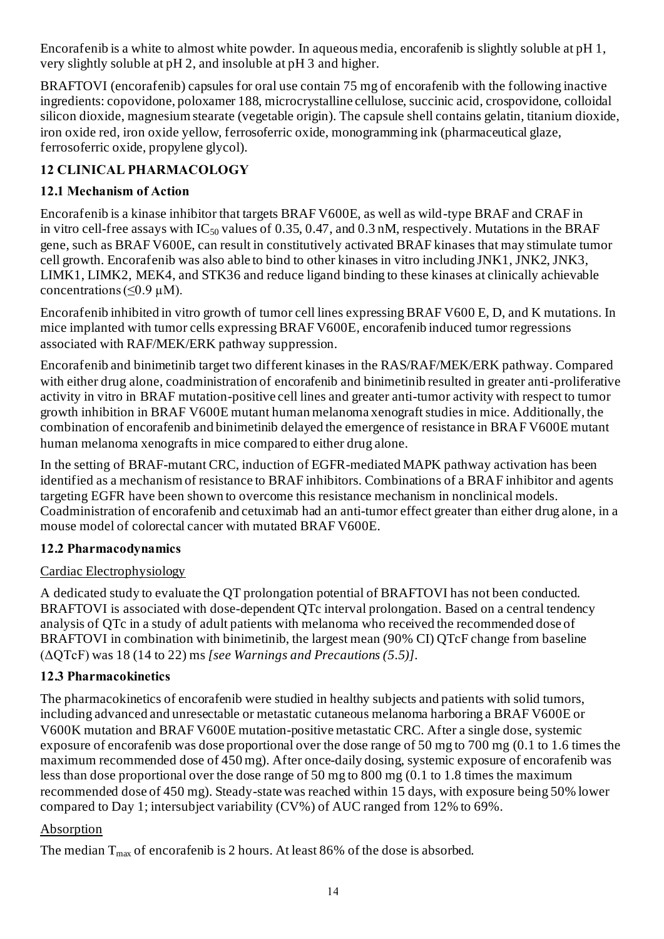Encorafenib is a white to almost white powder. In aqueous media, encorafenib is slightly soluble at pH 1, very slightly soluble at pH 2, and insoluble at pH 3 and higher.

BRAFTOVI (encorafenib) capsules for oral use contain 75 mg of encorafenib with the following inactive ingredients: copovidone, poloxamer 188, microcrystalline cellulose, succinic acid, crospovidone, colloidal silicon dioxide, magnesium stearate (vegetable origin). The capsule shell contains gelatin, titanium dioxide, iron oxide red, iron oxide yellow, ferrosoferric oxide, monogramming ink (pharmaceutical glaze, ferrosoferric oxide, propylene glycol).

# **12 CLINICAL PHARMACOLOGY**

# **12.1 Mechanism of Action**

Encorafenib is a kinase inhibitor that targets BRAF V600E, as well as wild-type BRAF and CRAF in in vitro cell-free assays with  $IC_{50}$  values of 0.35, 0.47, and 0.3 nM, respectively. Mutations in the BRAF gene, such as BRAF V600E, can result in constitutively activated BRAF kinases that may stimulate tumor cell growth. Encorafenib was also able to bind to other kinases in vitro including JNK1, JNK2, JNK3, LIMK1, LIMK2, MEK4, and STK36 and reduce ligand binding to these kinases at clinically achievable concentrations  $( $0.9 \mu M$ ).$ 

Encorafenib inhibited in vitro growth of tumor cell lines expressing BRAF V600 E, D, and K mutations. In mice implanted with tumor cells expressing BRAF V600E*,* encorafenib induced tumor regressions associated with RAF/MEK/ERK pathway suppression.

Encorafenib and binimetinib target two different kinases in the RAS/RAF/MEK/ERK pathway. Compared with either drug alone, coadministration of encorafenib and binimetinib resulted in greater anti-proliferative activity in vitro in BRAF mutation-positive cell lines and greater anti-tumor activity with respect to tumor growth inhibition in BRAF V600E mutant human melanoma xenograft studies in mice. Additionally, the combination of encorafenib and binimetinib delayed the emergence of resistance in BRAF V600E mutant human melanoma xenografts in mice compared to either drug alone.

In the setting of BRAF-mutant CRC, induction of EGFR-mediated MAPK pathway activation has been identified as a mechanism of resistance to BRAF inhibitors. Combinations of a BRAF inhibitor and agents targeting EGFR have been shown to overcome this resistance mechanism in nonclinical models. Coadministration of encorafenib and cetuximab had an anti-tumor effect greater than either drug alone, in a mouse model of colorectal cancer with mutated BRAF V600E.

## **12.2 Pharmacodynamics**

## Cardiac Electrophysiology

A dedicated study to evaluate the QT prolongation potential of BRAFTOVI has not been conducted. BRAFTOVI is associated with dose-dependent QTc interval prolongation. Based on a central tendency analysis of QTc in a study of adult patients with melanoma who received the recommended dose of BRAFTOVI in combination with binimetinib, the largest mean (90% CI) QTcF change from baseline (ΔQTcF) was 18 (14 to 22) ms *[see Warnings and Precautions (5.5)]*.

# **12.3 Pharmacokinetics**

The pharmacokinetics of encorafenib were studied in healthy subjects and patients with solid tumors, including advanced and unresectable or metastatic cutaneous melanoma harboring a BRAF V600E or V600K mutation and BRAF V600E mutation-positive metastatic CRC. After a single dose, systemic exposure of encorafenib was dose proportional over the dose range of 50 mg to 700 mg (0.1 to 1.6 times the maximum recommended dose of 450 mg). After once-daily dosing, systemic exposure of encorafenib was less than dose proportional over the dose range of 50 mg to 800 mg (0.1 to 1.8 times the maximum recommended dose of 450 mg). Steady-state was reached within 15 days, with exposure being 50% lower compared to Day 1; intersubject variability (CV%) of AUC ranged from 12% to 69%.

## Absorption

The median  $T_{\text{max}}$  of encorafenib is 2 hours. At least 86% of the dose is absorbed.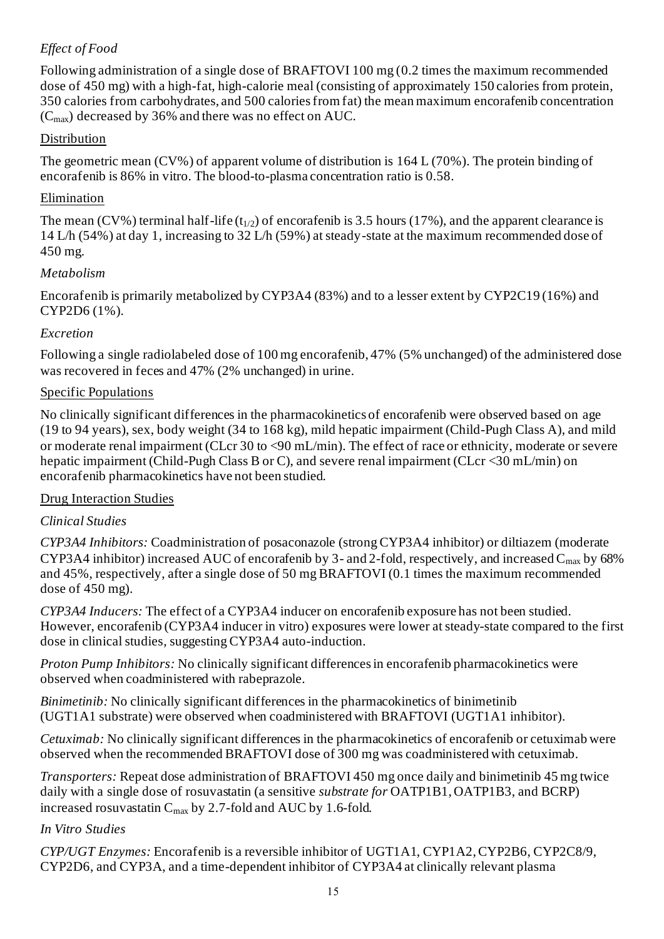# *Effect of Food*

Following administration of a single dose of BRAFTOVI 100 mg (0.2 times the maximum recommended dose of 450 mg) with a high-fat, high-calorie meal (consisting of approximately 150 calories from protein, 350 calories from carbohydrates, and 500 calories from fat) the mean maximum encorafenib concentration  $(C<sub>max</sub>)$  decreased by 36% and there was no effect on AUC.

### Distribution

The geometric mean (CV%) of apparent volume of distribution is 164 L (70%). The protein binding of encorafenib is 86% in vitro. The blood-to-plasma concentration ratio is 0.58.

### Elimination

The mean (CV%) terminal half-life ( $t_{1/2}$ ) of encorafenib is 3.5 hours (17%), and the apparent clearance is 14 L/h (54%) at day 1, increasing to 32 L/h (59%) at steady-state at the maximum recommended dose of 450 mg.

#### *Metabolism*

Encorafenib is primarily metabolized by CYP3A4 (83%) and to a lesser extent by CYP2C19 (16%) and CYP2D6 (1%).

### *Excretion*

Following a single radiolabeled dose of 100 mg encorafenib, 47% (5% unchanged) of the administered dose was recovered in feces and 47% (2% unchanged) in urine.

#### Specific Populations

No clinically significant differences in the pharmacokinetics of encorafenib were observed based on age (19 to 94 years), sex, body weight (34 to 168 kg), mild hepatic impairment (Child-Pugh Class A), and mild or moderate renal impairment (CLcr 30 to <90 mL/min). The effect of race or ethnicity, moderate or severe hepatic impairment (Child-Pugh Class B or C), and severe renal impairment (CLcr <30 mL/min) on encorafenib pharmacokinetics have not been studied.

#### Drug Interaction Studies

## *Clinical Studies*

*CYP3A4 Inhibitors:* Coadministration of posaconazole (strong CYP3A4 inhibitor) or diltiazem (moderate CYP3A4 inhibitor) increased AUC of encorafenib by 3- and 2-fold, respectively, and increased  $C_{\text{max}}$  by 68% and 45%, respectively, after a single dose of 50 mg BRAFTOVI (0.1 times the maximum recommended dose of 450 mg).

*CYP3A4 Inducers:* The effect of a CYP3A4 inducer on encorafenib exposure has not been studied. However, encorafenib (CYP3A4 inducer in vitro) exposures were lower at steady-state compared to the first dose in clinical studies, suggesting CYP3A4 auto-induction.

*Proton Pump Inhibitors:* No clinically significant differences in encorafenib pharmacokinetics were observed when coadministered with rabeprazole.

*Binimetinib:* No clinically significant differences in the pharmacokinetics of binimetinib (UGT1A1 substrate) were observed when coadministered with BRAFTOVI (UGT1A1 inhibitor).

*Cetuximab:* No clinically significant differences in the pharmacokinetics of encorafenib or cetuximab were observed when the recommended BRAFTOVI dose of 300 mg was coadministered with cetuximab.

*Transporters:* Repeat dose administration of BRAFTOVI 450 mg once daily and binimetinib 45 mg twice daily with a single dose of rosuvastatin (a sensitive *substrate for* OATP1B1, OATP1B3, and BCRP) increased rosuvastatin C<sub>max</sub> by 2.7-fold and AUC by 1.6-fold.

#### *In Vitro Studies*

*CYP/UGT Enzymes:* Encorafenib is a reversible inhibitor of UGT1A1, CYP1A2, CYP2B6, CYP2C8/9, CYP2D6, and CYP3A, and a time-dependent inhibitor of CYP3A4 at clinically relevant plasma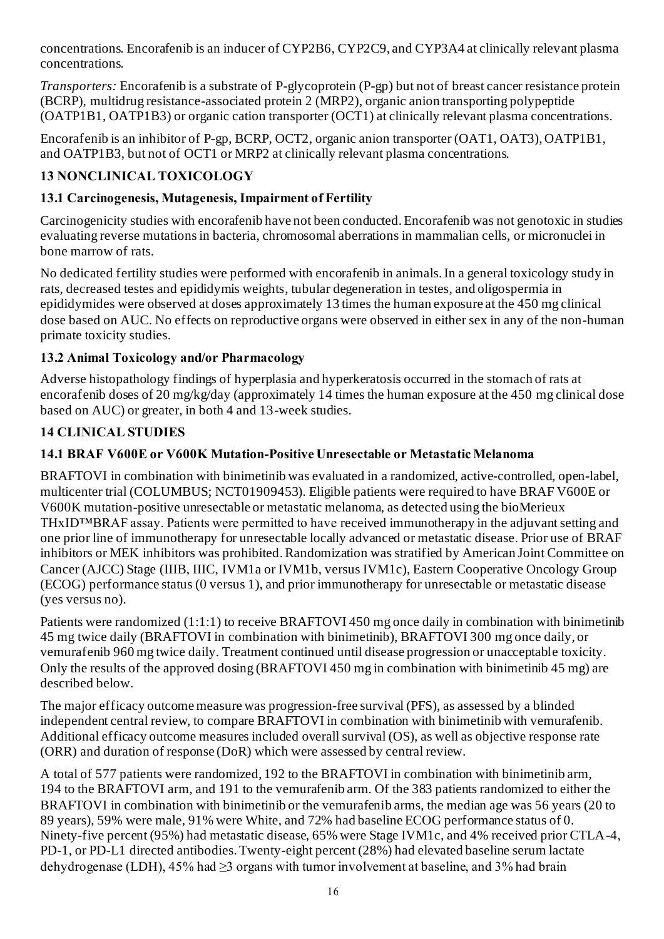concentrations. Encorafenib is an inducer of CYP2B6, CYP2C9, and CYP3A4 at clinically relevant plasma concentrations.

*Transporters:* Encorafenib is a substrate of P-glycoprotein (P-gp) but not of breast cancer resistance protein (BCRP), multidrug resistance-associated protein 2 (MRP2), organic anion transporting polypeptide (OATP1B1, OATP1B3) or organic cation transporter (OCT1) at clinically relevant plasma concentrations.

Encorafenib is an inhibitor of P-gp, BCRP, OCT2, organic anion transporter (OAT1, OAT3), OATP1B1, and OATP1B3, but not of OCT1 or MRP2 at clinically relevant plasma concentrations.

# **13 NONCLINICAL TOXICOLOGY**

# **13.1 Carcinogenesis, Mutagenesis, Impairment of Fertility**

Carcinogenicity studies with encorafenib have not been conducted. Encorafenib was not genotoxic in studies evaluating reverse mutations in bacteria, chromosomal aberrations in mammalian cells, or micronuclei in bone marrow of rats.

No dedicated fertility studies were performed with encorafenib in animals. In a general toxicology study in rats, decreased testes and epididymis weights, tubular degeneration in testes, and oligospermia in epididymides were observed at doses approximately 13 times the human exposure at the 450 mg clinical dose based on AUC. No effects on reproductive organs were observed in either sex in any of the non-human primate toxicity studies.

# **13.2 Animal Toxicology and/or Pharmacology**

Adverse histopathology findings of hyperplasia and hyperkeratosis occurred in the stomach of rats at encorafenib doses of 20 mg/kg/day (approximately 14 times the human exposure at the 450 mg clinical dose based on AUC) or greater, in both 4 and 13-week studies.

# **14 CLINICAL STUDIES**

# **14.1 BRAF V600E or V600K Mutation-Positive Unresectable or Metastatic Melanoma**

BRAFTOVI in combination with binimetinib was evaluated in a randomized, active-controlled, open-label, multicenter trial (COLUMBUS; NCT01909453). Eligible patients were required to have BRAF V600E or V600K mutation-positive unresectable or metastatic melanoma, as detected using the bioMerieux THxID™BRAF assay. Patients were permitted to have received immunotherapy in the adjuvant setting and one prior line of immunotherapy for unresectable locally advanced or metastatic disease. Prior use of BRAF inhibitors or MEK inhibitors was prohibited. Randomization was stratified by American Joint Committee on Cancer (AJCC) Stage (IIIB, IIIC, IVM1a or IVM1b, versus IVM1c), Eastern Cooperative Oncology Group (ECOG) performance status (0 versus 1), and prior immunotherapy for unresectable or metastatic disease (yes versus no).

Patients were randomized (1:1:1) to receive BRAFTOVI 450 mg once daily in combination with binimetinib 45 mg twice daily (BRAFTOVI in combination with binimetinib), BRAFTOVI 300 mg once daily, or vemurafenib 960 mg twice daily. Treatment continued until disease progression or unacceptable toxicity. Only the results of the approved dosing (BRAFTOVI 450 mg in combination with binimetinib 45 mg) are described below.

The major efficacy outcome measure was progression-free survival (PFS), as assessed by a blinded independent central review, to compare BRAFTOVI in combination with binimetinib with vemurafenib. Additional efficacy outcome measures included overall survival (OS), as well as objective response rate (ORR) and duration of response (DoR) which were assessed by central review.

A total of 577 patients were randomized, 192 to the BRAFTOVI in combination with binimetinib arm, 194 to the BRAFTOVI arm, and 191 to the vemurafenib arm. Of the 383 patients randomized to either the BRAFTOVI in combination with binimetinib or the vemurafenib arms, the median age was 56 years (20 to 89 years), 59% were male, 91% were White, and 72% had baseline ECOG performance status of 0. Ninety-five percent (95%) had metastatic disease, 65% were Stage IVM1c, and 4% received prior CTLA-4, PD-1, or PD-L1 directed antibodies. Twenty-eight percent (28%) had elevated baseline serum lactate dehydrogenase (LDH), 45% had ≥3 organs with tumor involvement at baseline, and 3% had brain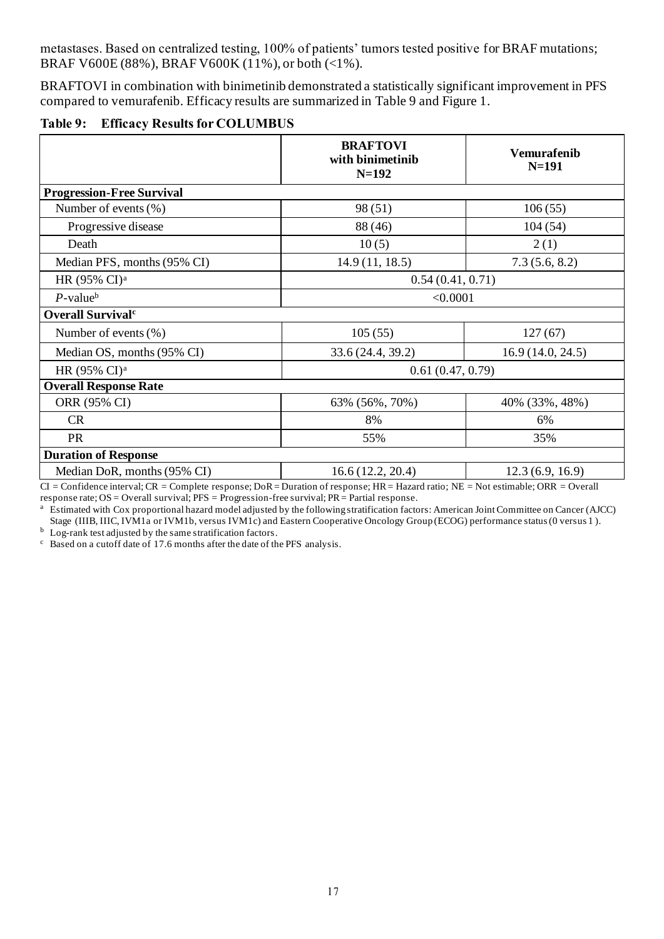metastases. Based on centralized testing, 100% of patients' tumors tested positive for BRAF mutations; BRAF V600E (88%), BRAF V600K (11%), or both (<1%).

BRAFTOVI in combination with binimetinib demonstrated a statistically significant improvement in PFS compared to vemurafenib. Efficacy results are summarized in Table 9 and Figure 1.

|  | Table 9: Efficacy Results for COLUMBUS |  |  |  |  |  |
|--|----------------------------------------|--|--|--|--|--|
|--|----------------------------------------|--|--|--|--|--|

|                                  | <b>BRAFTOVI</b><br>with binimetinib<br>$N=192$ | <b>Vemurafenib</b><br>$N=191$ |  |  |
|----------------------------------|------------------------------------------------|-------------------------------|--|--|
| <b>Progression-Free Survival</b> |                                                |                               |  |  |
| Number of events $(\% )$         | 98(51)                                         | 106(55)                       |  |  |
| Progressive disease              | 88 (46)                                        | 104(54)                       |  |  |
| Death                            | 10(5)                                          | 2(1)                          |  |  |
| Median PFS, months (95% CI)      | 14.9(11, 18.5)                                 | 7.3(5.6, 8.2)                 |  |  |
| HR (95% CI) <sup>a</sup>         | 0.54(0.41, 0.71)                               |                               |  |  |
| $P$ -value <sup>b</sup>          | < 0.0001                                       |                               |  |  |
| Overall Survival <sup>c</sup>    |                                                |                               |  |  |
| Number of events $(\%)$          | 105(55)                                        | 127(67)                       |  |  |
| Median OS, months (95% CI)       | 33.6 (24.4, 39.2)                              | 16.9(14.0, 24.5)              |  |  |
| HR (95% CI) <sup>a</sup>         | 0.61(0.47, 0.79)                               |                               |  |  |
| <b>Overall Response Rate</b>     |                                                |                               |  |  |
| ORR (95% CI)                     | 63% (56%, 70%)                                 | 40% (33%, 48%)                |  |  |
| CR                               | 8%                                             | 6%                            |  |  |
| PR                               | 55%                                            | 35%                           |  |  |
| <b>Duration of Response</b>      |                                                |                               |  |  |
| Median DoR, months (95% CI)      | 16.6(12.2, 20.4)                               | 12.3(6.9, 16.9)               |  |  |

CI = Confidence interval; CR = Complete response; DoR = Duration of response; HR = Hazard ratio; NE = Not estimable; ORR = Overall response rate; OS = Overall survival; PFS = Progression-free survival; PR = Partial response.

<sup>a</sup> Estimated with Cox proportional hazard model adjusted by the following stratification factors: American Joint Committee on Cancer (AJCC) Stage (IIIB, IIIC, IVM1a or IVM1b, versus IVM1c) and Eastern Cooperative Oncology Group (ECOG) performance status (0 versus 1).

 $<sup>b</sup>$  Log-rank test adjusted by the same stratification factors.</sup>

 $\degree$  Based on a cutoff date of 17.6 months after the date of the PFS analysis.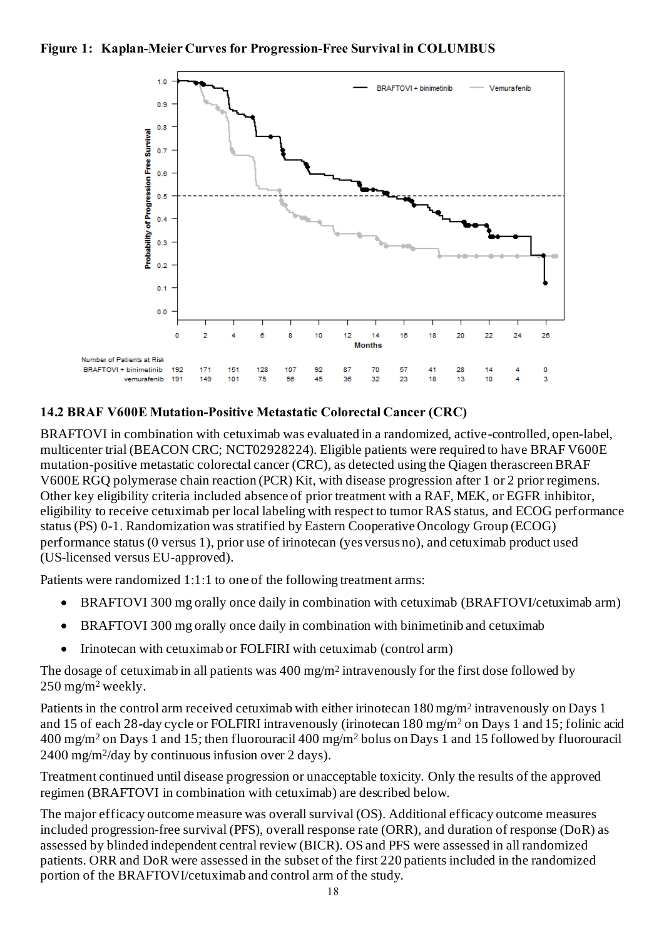



#### **14.2 BRAF V600E Mutation-Positive Metastatic Colorectal Cancer (CRC)**

BRAFTOVI in combination with cetuximab was evaluated in a randomized, active-controlled, open-label, multicenter trial (BEACON CRC; NCT02928224). Eligible patients were required to have BRAF V600E mutation-positive metastatic colorectal cancer (CRC), as detected using the Qiagen therascreen BRAF V600E RGQ polymerase chain reaction (PCR) Kit, with disease progression after 1 or 2 prior regimens. Other key eligibility criteria included absence of prior treatment with a RAF, MEK, or EGFR inhibitor, eligibility to receive cetuximab per local labeling with respect to tumor RAS status, and ECOG performance status (PS) 0-1. Randomization was stratified by Eastern Cooperative Oncology Group (ECOG) performance status (0 versus 1), prior use of irinotecan (yes versus no), and cetuximab product used (US-licensed versus EU-approved).

Patients were randomized 1:1:1 to one of the following treatment arms:

- BRAFTOVI 300 mg orally once daily in combination with cetuximab (BRAFTOVI/cetuximab arm)
- BRAFTOVI 300 mg orally once daily in combination with binimetinib and cetuximab
- Irinotecan with cetuximab or FOLFIRI with cetuximab (control arm)

The dosage of cetuximab in all patients was  $400 \text{ mg/m}^2$  intravenously for the first dose followed by 250 mg/m<sup>2</sup> weekly.

Patients in the control arm received cetuximab with either irinotecan 180 mg/m<sup>2</sup> intravenously on Days 1 and 15 of each 28-day cycle or FOLFIRI intravenously (irinotecan 180 mg/m<sup>2</sup> on Days 1 and 15; folinic acid 400 mg/m<sup>2</sup> on Days 1 and 15; then fluorouracil 400 mg/m<sup>2</sup> bolus on Days 1 and 15 followed by fluorouracil 2400 mg/m<sup>2</sup> /day by continuous infusion over 2 days).

Treatment continued until disease progression or unacceptable toxicity. Only the results of the approved regimen (BRAFTOVI in combination with cetuximab) are described below.

The major efficacy outcome measure was overall survival (OS). Additional efficacy outcome measures included progression-free survival (PFS), overall response rate (ORR), and duration of response (DoR) as assessed by blinded independent central review (BICR). OS and PFS were assessed in all randomized patients. ORR and DoR were assessed in the subset of the first 220 patients included in the randomized portion of the BRAFTOVI/cetuximab and control arm of the study.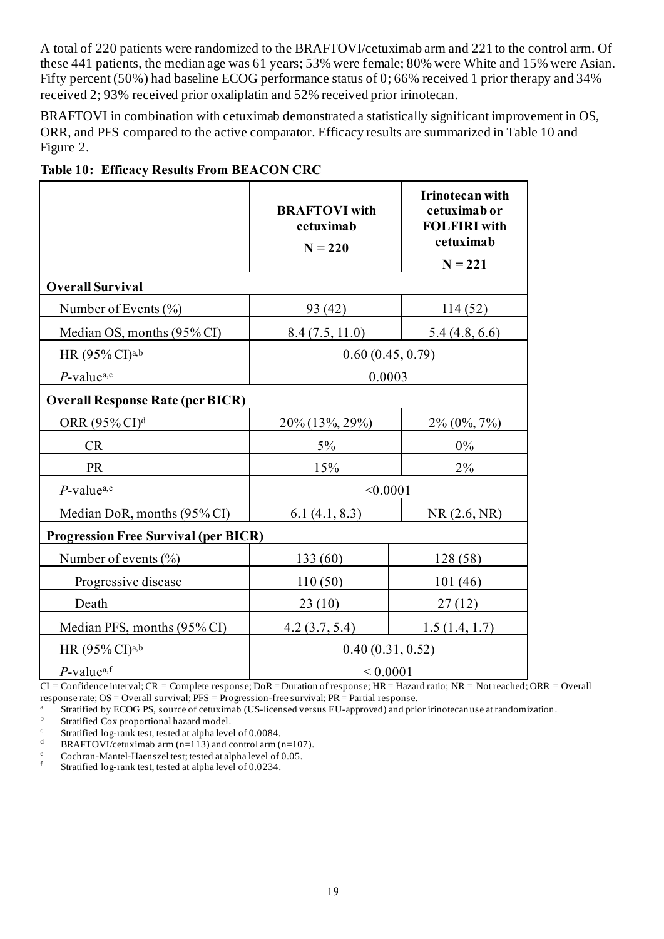A total of 220 patients were randomized to the BRAFTOVI/cetuximab arm and 221 to the control arm. Of these 441 patients, the median age was 61 years; 53% were female; 80% were White and 15% were Asian. Fifty percent (50%) had baseline ECOG performance status of 0; 66% received 1 prior therapy and 34% received 2; 93% received prior oxaliplatin and 52% received prior irinotecan.

BRAFTOVI in combination with cetuximab demonstrated a statistically significant improvement in OS, ORR, and PFS compared to the active comparator. Efficacy results are summarized in Table 10 and Figure 2.

|                                             | <b>BRAFTOVI</b> with<br>cetuximab<br>$N = 220$ | Irinotecan with<br>cetuximab or<br><b>FOLFIRI</b> with<br>cetuximab<br>$N = 221$ |  |  |  |  |  |
|---------------------------------------------|------------------------------------------------|----------------------------------------------------------------------------------|--|--|--|--|--|
| <b>Overall Survival</b>                     |                                                |                                                                                  |  |  |  |  |  |
| Number of Events $(\% )$                    | 93 (42)                                        | 114(52)                                                                          |  |  |  |  |  |
| Median OS, months (95% CI)                  | 8.4(7.5, 11.0)                                 | 5.4(4.8, 6.6)                                                                    |  |  |  |  |  |
| HR $(95\% \text{ CI})^{a,b}$                | 0.60(0.45, 0.79)                               |                                                                                  |  |  |  |  |  |
| $P$ -value <sup>a,c</sup>                   | 0.0003                                         |                                                                                  |  |  |  |  |  |
| <b>Overall Response Rate (per BICR)</b>     |                                                |                                                                                  |  |  |  |  |  |
| ORR $(95\%$ CI) <sup>d</sup>                | 20% (13%, 29%)                                 | $2\% (0\%, 7\%)$                                                                 |  |  |  |  |  |
| CR                                          | $5\%$                                          | $0\%$                                                                            |  |  |  |  |  |
| <b>PR</b>                                   | 15%                                            | 2%                                                                               |  |  |  |  |  |
| $P$ -value <sup>a,e</sup>                   | < 0.0001                                       |                                                                                  |  |  |  |  |  |
| Median DoR, months (95% CI)                 | 6.1(4.1, 8.3)                                  | NR(2.6, NR)                                                                      |  |  |  |  |  |
| <b>Progression Free Survival (per BICR)</b> |                                                |                                                                                  |  |  |  |  |  |
| Number of events $(\%)$                     | 133 (60)                                       | 128 (58)                                                                         |  |  |  |  |  |
| Progressive disease                         | 110(50)                                        | 101(46)                                                                          |  |  |  |  |  |
| Death                                       | 23(10)                                         | 27(12)                                                                           |  |  |  |  |  |
| Median PFS, months (95% CI)                 | 4.2(3.7, 5.4)                                  | 1.5(1.4, 1.7)                                                                    |  |  |  |  |  |
| HR $(95\% \text{ CI})^{a,b}$                | 0.40(0.31, 0.52)                               |                                                                                  |  |  |  |  |  |
| $P$ -value <sup>a,f</sup>                   | ${}_{0.0001}$                                  |                                                                                  |  |  |  |  |  |

| <b>Table 10: Efficacy Results From BEACON CRC</b> |  |  |  |
|---------------------------------------------------|--|--|--|
|                                                   |  |  |  |

CI = Confidence interval; CR = Complete response; DoR = Duration of response; HR = Hazard ratio; NR = Not reached; ORR = Overall response rate; OS = Overall survival; PFS = Progression-free survival; PR = Partial response.

<sup>a</sup> Stratified by ECOG PS, source of cetuximab (US-licensed versus EU-approved) and prior irinotecan use at randomization.<br><sup>b</sup> Stratified Cox proportional bazard model

Stratified Cox proportional hazard model.

<sup>c</sup> Stratified log-rank test, tested at alpha level of 0.0084.

<sup>d</sup> BRAFTOVI/cetuximab arm (n=113) and control arm (n=107).

e Cochran-Mantel-Haenszel test; tested at alpha level of 0.05.<br>  $\frac{1}{2}$  Stratified log rank test tested at alpha level of 0.0234

Stratified log-rank test, tested at alpha level of 0.0234.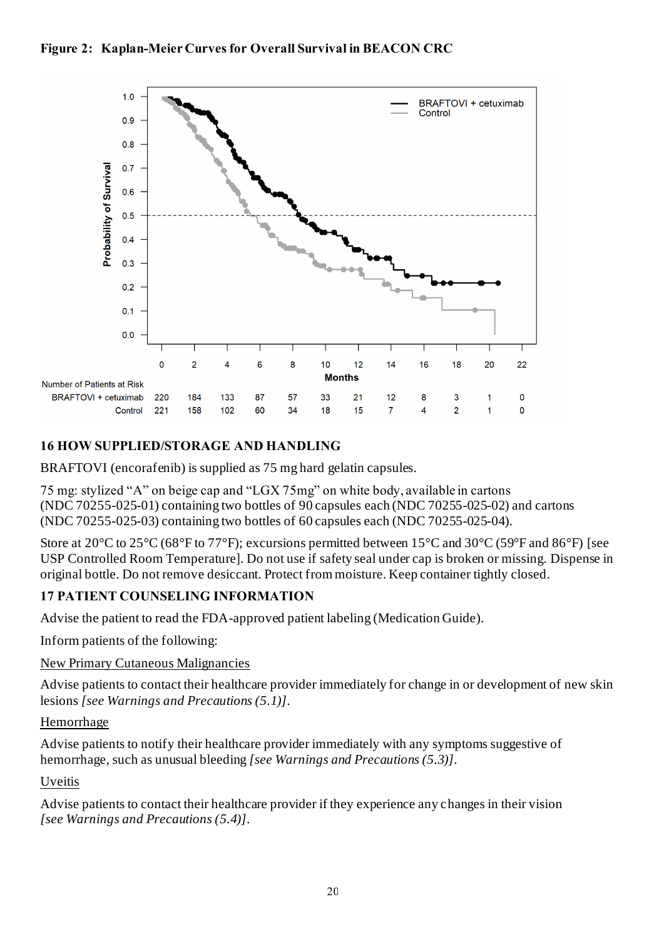



## **16 HOW SUPPLIED/STORAGE AND HANDLING**

BRAFTOVI (encorafenib) is supplied as 75 mg hard gelatin capsules.

75 mg: stylized "A" on beige cap and "LGX 75mg" on white body, available in cartons (NDC 70255-025-01) containing two bottles of 90 capsules each (NDC 70255-025-02) and cartons (NDC 70255-025-03) containing two bottles of 60 capsules each (NDC 70255-025-04).

Store at 20°C to 25°C (68°F to 77°F); excursions permitted between 15°C and 30°C (59°F and 86°F) [see USP Controlled Room Temperature]. Do not use if safety seal under cap is broken or missing. Dispense in original bottle. Do not remove desiccant. Protect from moisture. Keep container tightly closed.

## **17 PATIENT COUNSELING INFORMATION**

Advise the patient to read the FDA-approved patient labeling (Medication Guide).

Inform patients of the following:

New Primary Cutaneous Malignancies

Advise patients to contact their healthcare provider immediately for change in or development of new skin lesions *[see Warnings and Precautions (5.1)]*.

#### **Hemorrhage**

Advise patients to notify their healthcare provider immediately with any symptoms suggestive of hemorrhage, such as unusual bleeding *[see Warnings and Precautions (5.3)]*.

#### Uveitis

Advise patients to contact their healthcare provider if they experience any changes in their vision *[see Warnings and Precautions (5.4)]*.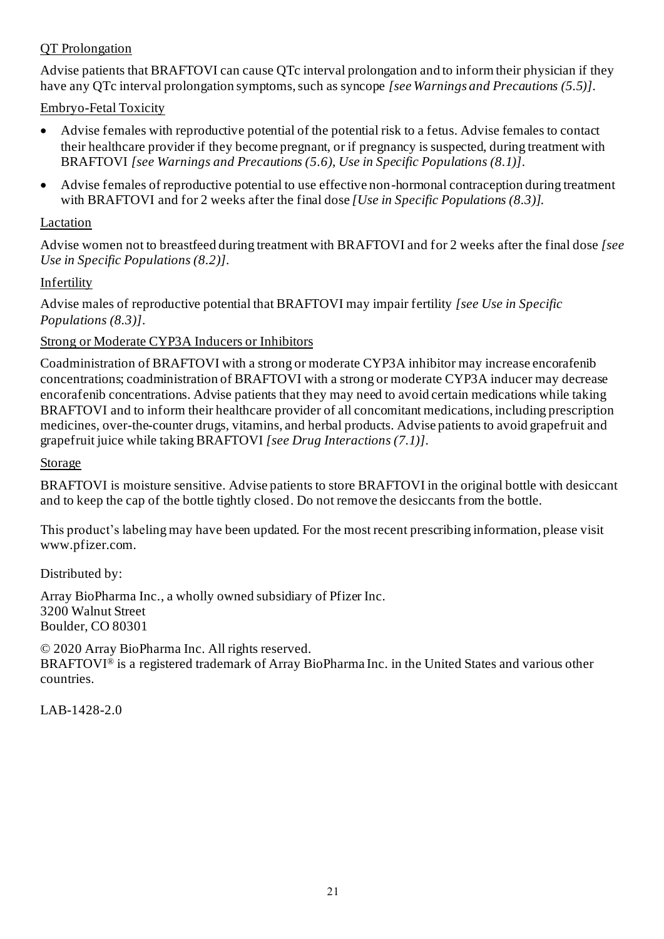### QT Prolongation

Advise patients that BRAFTOVI can cause QTc interval prolongation and to inform their physician if they have any QTc interval prolongation symptoms, such as syncope *[see Warnings and Precautions (5.5)]*.

Embryo-Fetal Toxicity

- Advise females with reproductive potential of the potential risk to a fetus. Advise females to contact their healthcare provider if they become pregnant, or if pregnancy is suspected, during treatment with BRAFTOVI *[see Warnings and Precautions (5.6), Use in Specific Populations (8.1)]*.
- Advise females of reproductive potential to use effective non-hormonal contraception during treatment with BRAFTOVI and for 2 weeks after the final dose *[Use in Specific Populations (8.3)]*.

### Lactation

Advise women not to breastfeed during treatment with BRAFTOVI and for 2 weeks after the final dose *[see Use in Specific Populations (8.2)]*.

## Infertility

Advise males of reproductive potential that BRAFTOVI may impair fertility *[see Use in Specific Populations (8.3)]*.

### Strong or Moderate CYP3A Inducers or Inhibitors

Coadministration of BRAFTOVI with a strong or moderate CYP3A inhibitor may increase encorafenib concentrations; coadministration of BRAFTOVI with a strong or moderate CYP3A inducer may decrease encorafenib concentrations. Advise patients that they may need to avoid certain medications while taking BRAFTOVI and to inform their healthcare provider of all concomitant medications, including prescription medicines, over-the-counter drugs, vitamins, and herbal products. Advise patients to avoid grapefruit and grapefruit juice while taking BRAFTOVI *[see Drug Interactions (7.1)]*.

Storage

BRAFTOVI is moisture sensitive. Advise patients to store BRAFTOVI in the original bottle with desiccant and to keep the cap of the bottle tightly closed. Do not remove the desiccants from the bottle.

This product's labeling may have been updated. For the most recent prescribing information, please visit [www.pfizer.com](https://www.pfizer.com/).

Distributed by:

Array BioPharma Inc., a wholly owned subsidiary of Pfizer Inc. 3200 Walnut Street Boulder, CO 80301

© 2020 Array BioPharma Inc. All rights reserved. BRAFTOVI® is a registered trademark of Array BioPharma Inc. in the United States and various other countries.

LAB-1428-2.0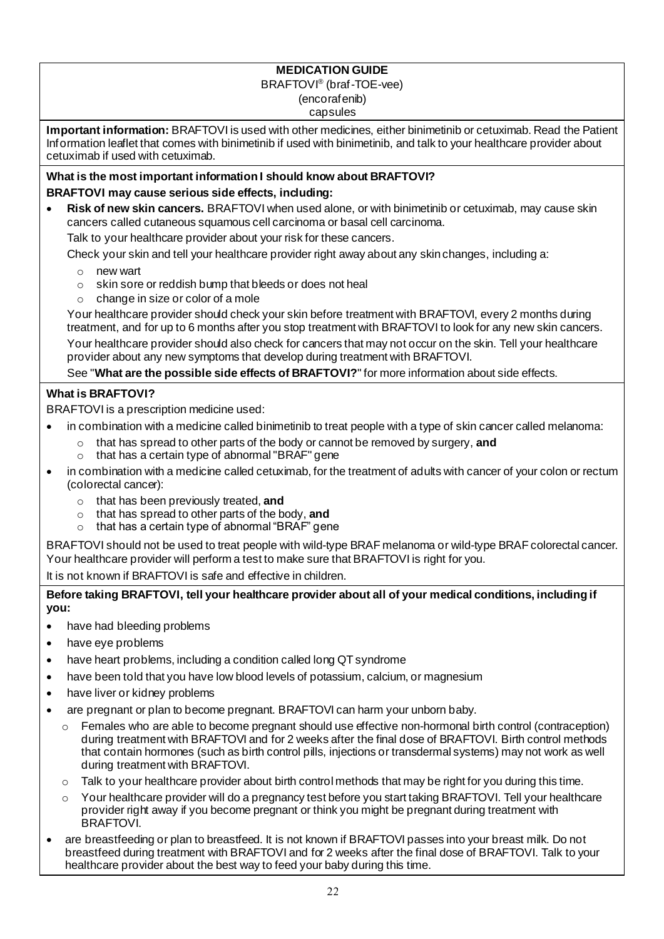#### **MEDICATION GUIDE**

#### BRAFTOVI® (braf-TOE-vee) (encorafenib)

# capsules

**Important information:** BRAFTOVI is used with other medicines, either binimetinib or cetuximab. Read the Patient Information leaflet that comes with binimetinib if used with binimetinib, and talk to your healthcare provider about cetuximab if used with cetuximab.

#### **What is the most important information I should know about BRAFTOVI? BRAFTOVI may cause serious side effects, including:**

• **Risk of new skin cancers.** BRAFTOVI when used alone, or with binimetinib or cetuximab, may cause skin cancers called cutaneous squamous cell carcinoma or basal cell carcinoma.

Talk to your healthcare provider about your risk for these cancers.

Check your skin and tell your healthcare provider right away about any skin changes, including a:

- o new wart
- o skin sore or reddish bump that bleeds or does not heal
- o change in size or color of a mole

Your healthcare provider should check your skin before treatment with BRAFTOVI, every 2 months during treatment, and for up to 6 months after you stop treatment with BRAFTOVI to look for any new skin cancers.

Your healthcare provider should also check for cancers that may not occur on the skin. Tell your healthcare provider about any new symptoms that develop during treatment with BRAFTOVI.

See "**What are the possible side effects of BRAFTOVI?**" for more information about side effects.

#### **What is BRAFTOVI?**

BRAFTOVI is a prescription medicine used:

- in combination with a medicine called binimetinib to treat people with a type of skin cancer called melanoma:
	- o that has spread to other parts of the body or cannot be removed by surgery, **and**
	- o that has a certain type of abnormal "BRAF" gene
- in combination with a medicine called cetuximab, for the treatment of adults with cancer of your colon or rectum (colorectal cancer):
	- o that has been previously treated, **and**
	- o that has spread to other parts of the body, **and**
	- o that has a certain type of abnormal "BRAF" gene

BRAFTOVI should not be used to treat people with wild-type BRAF melanoma or wild-type BRAF colorectal cancer. Your healthcare provider will perform a test to make sure that BRAFTOVI is right for you.

It is not known if BRAFTOVI is safe and effective in children.

**Before taking BRAFTOVI, tell your healthcare provider about all of your medical conditions, including if you:** 

- have had bleeding problems
- have eye problems
- have heart problems, including a condition called long QT syndrome
- have been told that you have low blood levels of potassium, calcium, or magnesium
- have liver or kidney problems
- are pregnant or plan to become pregnant. BRAFTOVI can harm your unborn baby.
	- $\circ$  Females who are able to become pregnant should use effective non-hormonal birth control (contraception) during treatment with BRAFTOVI and for 2 weeks after the final dose of BRAFTOVI. Birth control methods that contain hormones (such as birth control pills, injections or transdermal systems) may not work as well during treatment with BRAFTOVI.
	- $\circ$  Talk to your healthcare provider about birth control methods that may be right for you during this time.
	- Your healthcare provider will do a pregnancy test before you start taking BRAFTOVI. Tell your healthcare provider right away if you become pregnant or think you might be pregnant during treatment with BRAFTOVI.
- are breastfeeding or plan to breastfeed. It is not known if BRAFTOVI passes into your breast milk. Do not breastfeed during treatment with BRAFTOVI and for 2 weeks after the final dose of BRAFTOVI. Talk to your healthcare provider about the best way to feed your baby during this time.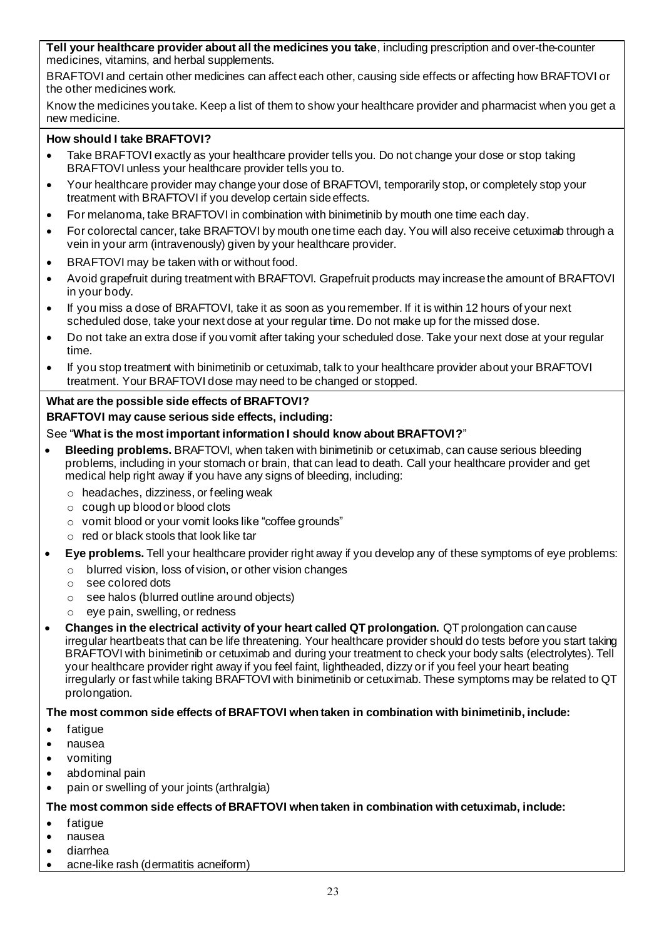**Tell your healthcare provider about all the medicines you take**, including prescription and over-the-counter medicines, vitamins, and herbal supplements.

BRAFTOVI and certain other medicines can affect each other, causing side effects or affecting how BRAFTOVI or the other medicines work.

Know the medicines you take. Keep a list of them to show your healthcare provider and pharmacist when you get a new medicine.

#### **How should I take BRAFTOVI?**

- Take BRAFTOVI exactly as your healthcare provider tells you. Do not change your dose or stop taking BRAFTOVI unless your healthcare provider tells you to.
- Your healthcare provider may change your dose of BRAFTOVI, temporarily stop, or completely stop your treatment with BRAFTOVI if you develop certain side effects.
- For melanoma, take BRAFTOVI in combination with binimetinib by mouth one time each day.
- For colorectal cancer, take BRAFTOVI by mouth one time each day. You will also receive cetuximab through a vein in your arm (intravenously) given by your healthcare provider.
- BRAFTOVI may be taken with or without food.
- Avoid grapefruit during treatment with BRAFTOVI. Grapefruit products may increase the amount of BRAFTOVI in your body.
- If you miss a dose of BRAFTOVI, take it as soon as you remember. If it is within 12 hours of your next scheduled dose, take your next dose at your regular time. Do not make up for the missed dose.
- Do not take an extra dose if you vomit after taking your scheduled dose. Take your next dose at your regular time.
- If you stop treatment with binimetinib or cetuximab, talk to your healthcare provider about your BRAFTOVI treatment. Your BRAFTOVI dose may need to be changed or stopped.

#### **What are the possible side effects of BRAFTOVI? BRAFTOVI may cause serious side effects, including:**

#### See "**What is the most important information I should know about BRAFTOVI?**"

- **Bleeding problems.** BRAFTOVI, when taken with binimetinib or cetuximab, can cause serious bleeding problems, including in your stomach or brain, that can lead to death. Call your healthcare provider and get medical help right away if you have any signs of bleeding, including:
	- o headaches, dizziness, or feeling weak
	- o cough up blood or blood clots
	- o vomit blood or your vomit looks like "coffee grounds"
	- o red or black stools that look like tar
- **Eye problems.** Tell your healthcare provider right away if you develop any of these symptoms of eye problems:
	- o blurred vision, loss of vision, or other vision changes
	- o see colored dots
	- o see halos (blurred outline around objects)
	- o eye pain, swelling, or redness
- **Changes in the electrical activity of your heart called QT prolongation.** QT prolongation can cause irregular heartbeats that can be life threatening. Your healthcare provider should do tests before you start taking BRAFTOVI with binimetinib or cetuximab and during your treatment to check your body salts (electrolytes). Tell your healthcare provider right away if you feel faint, lightheaded, dizzy or if you feel your heart beating irregularly or fast while taking BRAFTOVI with binimetinib or cetuximab. These symptoms may be related to QT prolongation.

#### **The most common side effects of BRAFTOVI when taken in combination with binimetinib, include:**

- fatigue
- nausea
- vomiting
- abdominal pain
- pain or swelling of your joints (arthralgia)

#### **The most common side effects of BRAFTOVI when taken in combination with cetuximab, include:**

- fatigue
- nausea
- diarrhea
- acne-like rash (dermatitis acneiform)